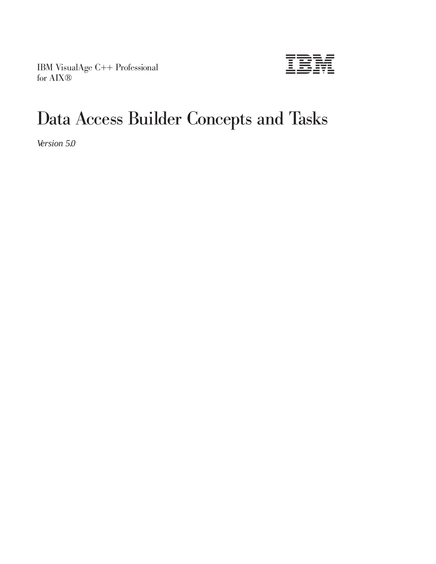IBM VisualAge C++ Professional for AIX®



# Data Access Builder Concepts and Tasks

*Version 5.0*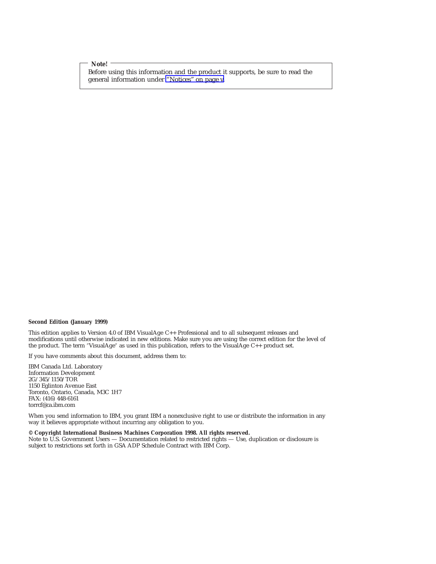**Note!**

Before using this information and the product it supports, be sure to read the general information under ["Notices" on page v.](#page-4-0)

#### **Second Edition (January 1999)**

This edition applies to Version 4.0 of IBM VisualAge C++ Professional and to all subsequent releases and modifications until otherwise indicated in new editions. Make sure you are using the correct edition for the level of the product. The term ″VisualAge″ as used in this publication, refers to the VisualAge C++ product set.

If you have comments about this document, address them to:

IBM Canada Ltd. Laboratory Information Development 2G/345/1150/TOR 1150 Eglinton Avenue East Toronto, Ontario, Canada, M3C 1H7 FAX: (416) 448-6161 torrcf@ca.ibm.com

When you send information to IBM, you grant IBM a nonexclusive right to use or distribute the information in any way it believes appropriate without incurring any obligation to you.

#### **© Copyright International Business Machines Corporation 1998. All rights reserved.**

Note to U.S. Government Users — Documentation related to restricted rights — Use, duplication or disclosure is subject to restrictions set forth in GSA ADP Schedule Contract with IBM Corp.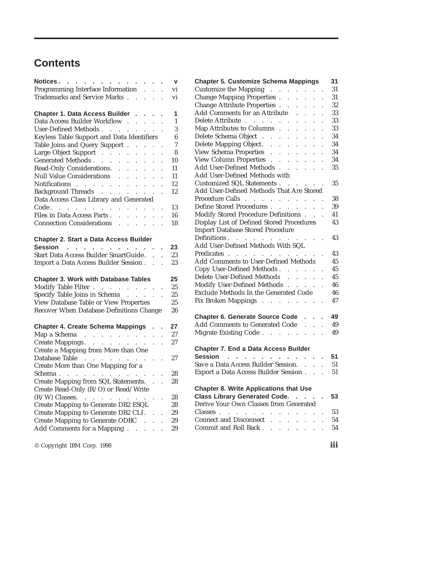## **Contents**

| Notices.                                                                                                                      |                        | V                                      |
|-------------------------------------------------------------------------------------------------------------------------------|------------------------|----------------------------------------|
| Programming Interface Information                                                                                             |                        | vi                                     |
| Trademarks and Service Marks                                                                                                  |                        | vi                                     |
|                                                                                                                               |                        |                                        |
| Chapter 1. Data Access Builder                                                                                                |                        | $\overline{1}$<br>ł,                   |
| Data Access Builder Workflow                                                                                                  | $\sim$                 | $\mathbf{1}$                           |
| User-Defined Methods<br>$\sim$                                                                                                |                        | 3                                      |
| Keyless Table Support and Data Identifiers                                                                                    |                        | $\boldsymbol{6}$                       |
| Table Joins and Query Support<br>$\mathcal{L}^{\mathcal{L}}$                                                                  | $\sim$                 | 7                                      |
| Large Object Support                                                                                                          |                        | 8                                      |
| Generated Methods                                                                                                             |                        | 10                                     |
|                                                                                                                               |                        | 11                                     |
| Read-Only Considerations.<br>Null Value Considerations                                                                        |                        | 11                                     |
|                                                                                                                               |                        | 12<br>$\ddot{\phantom{0}}$             |
|                                                                                                                               | $\mathbb{Z}^2$         | 12                                     |
| Data Access Class Library and Generated                                                                                       |                        | $\ddot{\phantom{0}}$                   |
|                                                                                                                               |                        | 13                                     |
| Code.<br>Files in Data Access Parts                                                                                           |                        | 16                                     |
| Connection Considerations                                                                                                     |                        | $\ddot{\phantom{a}}$                   |
|                                                                                                                               |                        | 18<br>$\ddot{\phantom{a}}$             |
| Start Data Access Builder SmartGuide.<br>Import a Data Access Builder Session.<br><b>Chapter 3. Work with Database Tables</b> | $\ddot{\phantom{a}}$   | 23<br>$\ddot{\phantom{0}}$<br>23<br>25 |
|                                                                                                                               |                        | 25                                     |
| Modify Table Filter .<br>Specify Table Joins in Schema                                                                        |                        | 25                                     |
| View Database Table or View Properties                                                                                        |                        | 25                                     |
| Recover When Database Definitions Change                                                                                      |                        | 26                                     |
|                                                                                                                               |                        |                                        |
| <b>Chapter 4. Create Schema Mappings</b>                                                                                      |                        | 27                                     |
|                                                                                                                               |                        | 27<br>$\ddot{\phantom{0}}$             |
| Map a Schema<br>Create Mappings.                                                                                              |                        | 27                                     |
| Create a Mapping from More than One                                                                                           |                        |                                        |
| Database Table                                                                                                                |                        | 27                                     |
| Create More than One Mapping for a                                                                                            |                        |                                        |
| Schema.                                                                                                                       |                        | 28                                     |
| Create Mapping from SQL Statements.                                                                                           | $\ddot{\phantom{a}}$   | 28                                     |
| Create Read-Only (R/O) or Read/Write                                                                                          | $\ddot{\phantom{0}}$   | $\ddot{\phantom{0}}$                   |
|                                                                                                                               |                        |                                        |
| (R/W) Classes.<br>$\mathcal{A}$ . The set of the set of the set of $\mathcal{A}$                                              | $\ddot{\phantom{a}}$ . | 28                                     |
| Create Mapping to Generate DB2 ESQL                                                                                           |                        | 28                                     |
| Create Mapping to Generate DB2 CLI.                                                                                           |                        | 29                                     |
| Create Mapping to Generate ODBC                                                                                               |                        | 29                                     |
| Add Comments for a Mapping                                                                                                    | $\ddot{\phantom{0}}$   | 29                                     |

© Copyright IBM Corp. 1998 **iii**

| <b>Chapter 5. Customize Schema Mappings</b>                                                                                                                     |                                              |                      | 31 |
|-----------------------------------------------------------------------------------------------------------------------------------------------------------------|----------------------------------------------|----------------------|----|
| Customize the Mapping<br>Change Mapping Properties                                                                                                              |                                              |                      | 31 |
|                                                                                                                                                                 | $\ddot{\phantom{a}}$                         |                      | 31 |
| Change Attribute Properties<br>$\mathcal{L}^{\pm}$                                                                                                              | $\mathbb{Z}^{\mathbb{Z}}$                    |                      | 32 |
| Add Comments for an Attribute<br>$\mathcal{L}^{\mathcal{L}}$                                                                                                    | $\mathbf{r}$<br>$\mathbf{r}$                 |                      | 33 |
| Delete Attribute<br>$\mathbb{Z}^{\mathbb{Z}}$                                                                                                                   | $\sim$<br>$\ddot{\phantom{0}}$               | $\ddot{\phantom{0}}$ | 33 |
| Map Attributes to Columns.<br>$\ddot{\phantom{a}}$<br>$\mathcal{L}^{\mathcal{L}}$                                                                               | $\mathbb{Z}^{\mathbb{Z}}$                    | $\ddot{\phantom{0}}$ | 33 |
| Delete Schema Object<br>L.<br>$\ddot{\phantom{0}}$<br>$\ddot{\phantom{0}}$                                                                                      | $\ddot{\phantom{0}}$                         |                      | 34 |
| Delete Mapping Object. .<br>$\langle \cdot \rangle$ .<br>$\ddot{\phantom{a}}$                                                                                   | ¥.<br>$\ddot{\phantom{a}}$                   | $\ddot{\phantom{0}}$ | 34 |
| View Schema Properties.<br>$\mathcal{L}^{\text{max}}$<br>$\ddot{\phantom{0}}$                                                                                   | $\ddot{\phantom{0}}$<br>$\mathbf{r}$         |                      | 34 |
| View Column Properties<br>$\ddot{\phantom{0}}$                                                                                                                  | $\ddot{\phantom{0}}$<br>$\ddot{\phantom{a}}$ | $\ddot{\phantom{0}}$ | 34 |
| Add User-Defined Methods.<br>$\mathbf{r} = \mathbf{r}$ .                                                                                                        | <b>Service</b> State                         |                      | 35 |
| Add User-Defined Methods with                                                                                                                                   |                                              |                      |    |
| Customized SQL Statements                                                                                                                                       |                                              |                      | 35 |
| Add User-Defined Methods That Are Stored                                                                                                                        |                                              |                      |    |
| Procedure Calls<br>$\mathcal{L}^{\mathcal{A}}$ , where $\mathcal{L}^{\mathcal{A}}$ , where $\mathcal{L}^{\mathcal{A}}$ , where $\mathcal{L}^{\mathcal{A}}$      |                                              |                      | 38 |
| Define Stored Procedures<br>$\ddot{\phantom{a}}$<br>$\mathcal{L}^{\pm}$                                                                                         | $\sim$<br>$\sim$                             |                      | 39 |
| Modify Stored Procedure Definitions.                                                                                                                            |                                              | $\ddot{\phantom{a}}$ | 41 |
|                                                                                                                                                                 |                                              |                      | 43 |
| Display List of Defined Stored Procedures                                                                                                                       |                                              |                      |    |
| <b>Import Database Stored Procedure</b>                                                                                                                         |                                              |                      |    |
| Definitions                                                                                                                                                     |                                              |                      | 43 |
| Add User-Defined Methods With SQL                                                                                                                               |                                              |                      |    |
| Predicates                                                                                                                                                      |                                              |                      | 43 |
| Add Comments to User-Defined Methods                                                                                                                            |                                              |                      | 45 |
| Copy User-Defined Methods                                                                                                                                       |                                              |                      | 45 |
| Delete User-Defined Methods<br>$\sim$<br>$\mathbb{R}^{\mathbb{Z}}$                                                                                              | $\mathbb{R}^2$                               |                      | 45 |
| Modify User-Defined Methods                                                                                                                                     |                                              |                      | 46 |
| Exclude Methods In the Generated Code                                                                                                                           |                                              |                      | 46 |
| Fix Broken Mappings                                                                                                                                             |                                              |                      | 47 |
|                                                                                                                                                                 |                                              |                      |    |
| <b>Chapter 6. Generate Source Code</b>                                                                                                                          |                                              |                      | 49 |
| Add Comments to Generated Code                                                                                                                                  | $\mathbb{R}^2$                               | $\ddot{\phantom{a}}$ | 49 |
| Migrate Existing Code                                                                                                                                           |                                              | $\ddot{\phantom{a}}$ | 49 |
|                                                                                                                                                                 |                                              |                      |    |
|                                                                                                                                                                 |                                              |                      |    |
| <b>Chapter 7. End a Data Access Builder</b>                                                                                                                     |                                              |                      |    |
| Session                                                                                                                                                         |                                              | l,                   | 51 |
| Save a Data Access Builder Session.                                                                                                                             | $\mathbb{R}^2$                               | $\ddot{\phantom{a}}$ | 51 |
| Export a Data Access Builder Session.                                                                                                                           | $\mathbb{R}^{\mathbb{Z}}$                    | $\overline{a}$       | 51 |
|                                                                                                                                                                 |                                              |                      |    |
| <b>Chapter 8. Write Applications that Use</b>                                                                                                                   |                                              |                      |    |
| Class Library Generated Code.                                                                                                                                   |                                              |                      | 53 |
| Derive Your Own Classes from Generated                                                                                                                          |                                              |                      |    |
| Classes.<br>$\mathcal{L}^{\mathcal{A}}$ , $\mathcal{L}^{\mathcal{A}}$ , $\mathcal{L}^{\mathcal{A}}$ , $\mathcal{L}^{\mathcal{A}}$ , $\mathcal{L}^{\mathcal{A}}$ |                                              |                      | 53 |
| Connect and Disconnect<br>$\ddot{\phantom{0}}$<br>$\ddot{\phantom{0}}$                                                                                          | $\ddot{\phantom{0}}$<br>$\ddot{\phantom{0}}$ |                      | 54 |
| Commit and Roll Back<br>$\sim$<br>$\ddot{\phantom{0}}$<br>¥.                                                                                                    | $\ddot{\phantom{0}}$                         |                      | 54 |
|                                                                                                                                                                 |                                              |                      |    |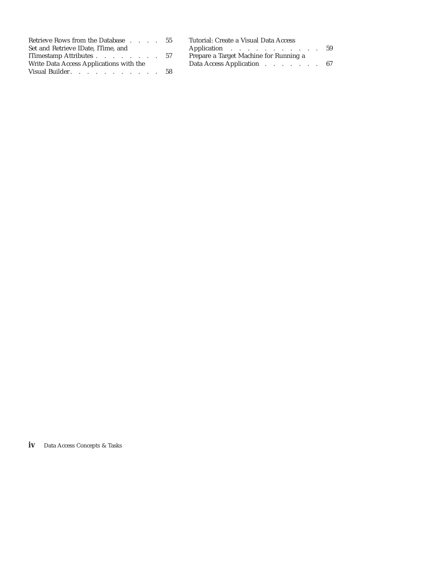| Retrieve Rows from the Database 55      | Tutorial: Create a Visual Data Access  |  |
|-----------------------------------------|----------------------------------------|--|
| Set and Retrieve IDate, ITime, and      | Application 59                         |  |
| ITimestamp Attributes 57                | Prepare a Target Machine for Running a |  |
| Write Data Access Applications with the | Data Access Application 67             |  |
| Visual Builder. 58                      |                                        |  |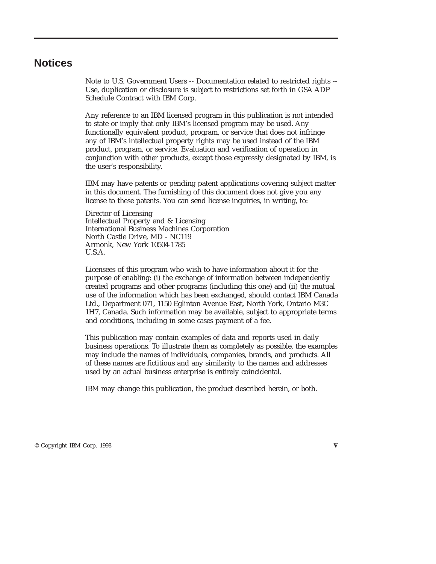### <span id="page-4-0"></span>**Notices**

Note to U.S. Government Users -- Documentation related to restricted rights -- Use, duplication or disclosure is subject to restrictions set forth in GSA ADP Schedule Contract with IBM Corp.

Any reference to an IBM licensed program in this publication is not intended to state or imply that only IBM's licensed program may be used. Any functionally equivalent product, program, or service that does not infringe any of IBM's intellectual property rights may be used instead of the IBM product, program, or service. Evaluation and verification of operation in conjunction with other products, except those expressly designated by IBM, is the user's responsibility.

IBM may have patents or pending patent applications covering subject matter in this document. The furnishing of this document does not give you any license to these patents. You can send license inquiries, in writing, to:

Director of Licensing Intellectual Property and & Licensing International Business Machines Corporation North Castle Drive, MD - NC119 Armonk, New York 10504-1785 U.S.A.

Licensees of this program who wish to have information about it for the purpose of enabling: (i) the exchange of information between independently created programs and other programs (including this one) and (ii) the mutual use of the information which has been exchanged, should contact IBM Canada Ltd., Department 071, 1150 Eglinton Avenue East, North York, Ontario M3C 1H7, Canada. Such information may be available, subject to appropriate terms and conditions, including in some cases payment of a fee.

This publication may contain examples of data and reports used in daily business operations. To illustrate them as completely as possible, the examples may include the names of individuals, companies, brands, and products. All of these names are fictitious and any similarity to the names and addresses used by an actual business enterprise is entirely coincidental.

IBM may change this publication, the product described herein, or both.

© Copyright IBM Corp. 1998 **v**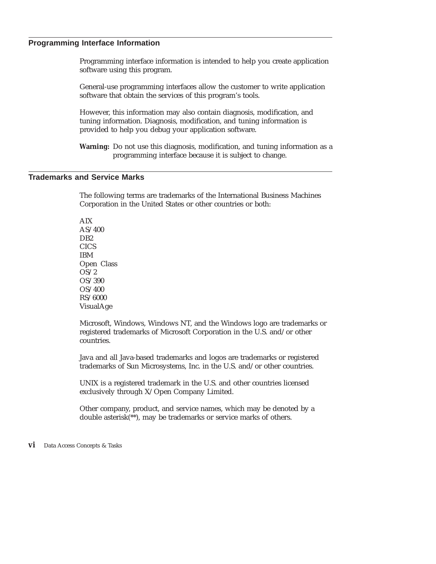### <span id="page-5-0"></span>**Programming Interface Information**

Programming interface information is intended to help you create application software using this program.

General-use programming interfaces allow the customer to write application software that obtain the services of this program's tools.

However, this information may also contain diagnosis, modification, and tuning information. Diagnosis, modification, and tuning information is provided to help you debug your application software.

**Warning:** Do not use this diagnosis, modification, and tuning information as a programming interface because it is subject to change.

### **Trademarks and Service Marks**

The following terms are trademarks of the International Business Machines Corporation in the United States or other countries or both:

AIX AS/400 D<sub>B2</sub> **CICS** IBM Open Class OS/2 OS/390 OS/400 RS/6000 VisualAge

Microsoft, Windows, Windows NT, and the Windows logo are trademarks or registered trademarks of Microsoft Corporation in the U.S. and/or other countries.

Java and all Java-based trademarks and logos are trademarks or registered trademarks of Sun Microsystems, Inc. in the U.S. and/or other countries.

UNIX is a registered trademark in the U.S. and other countries licensed exclusively through X/Open Company Limited.

Other company, product, and service names, which may be denoted by a double asterisk(\*\*), may be trademarks or service marks of others.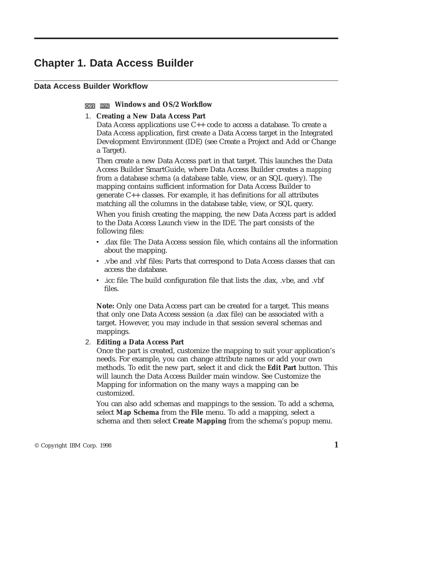### <span id="page-6-0"></span>**Chapter 1. Data Access Builder**

### **Data Access Builder Workflow**

### **WINDOWS and OS/2 Workflow**

### 1. **Creating a New Data Access Part**

Data Access applications use C++ code to access a database. To create a Data Access application, first create a Data Access target in the Integrated Development Environment (IDE) (see Create a Project and Add or Change a Target).

Then create a new Data Access part in that target. This launches the Data Access Builder SmartGuide, where Data Access Builder creates a *mapping* from a database *schema* (a database table, view, or an SQL query). The mapping contains sufficient information for Data Access Builder to generate C++ classes. For example, it has definitions for all attributes matching all the columns in the database table, view, or SQL query.

When you finish creating the mapping, the new Data Access part is added to the Data Access Launch view in the IDE. The part consists of the following files:

- v .dax file: The Data Access session file, which contains all the information about the mapping.
- v .vbe and .vbf files: Parts that correspond to Data Access classes that can access the database.
- v .icc file: The build configuration file that lists the .dax, .vbe, and .vbf files.

**Note:** Only one Data Access part can be created for a target. This means that only one Data Access session (a .dax file) can be associated with a target. However, you may include in that session several schemas and mappings.

### 2. **Editing a Data Access Part**

Once the part is created, customize the mapping to suit your application's needs. For example, you can change attribute names or add your own methods. To edit the new part, select it and click the **Edit Part** button. This will launch the Data Access Builder main window. See Customize the Mapping for information on the many ways a mapping can be customized.

You can also add schemas and mappings to the session. To add a schema, select **Map Schema** from the **File** menu. To add a mapping, select a schema and then select **Create Mapping** from the schema's popup menu.

 $\degree$  Copyright IBM Corp. 1998 **1**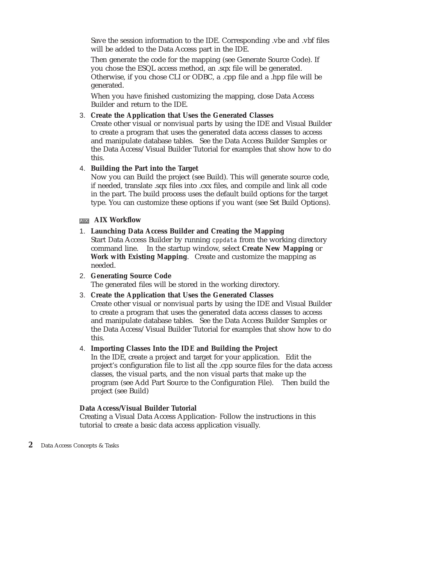Save the session information to the IDE. Corresponding .vbe and .vbf files will be added to the Data Access part in the IDE.

Then generate the code for the mapping (see Generate Source Code). If you chose the ESQL access method, an .sqx file will be generated. Otherwise, if you chose CLI or ODBC, a .cpp file and a .hpp file will be generated.

When you have finished customizing the mapping, close Data Access Builder and return to the IDE.

### 3. **Create the Application that Uses the Generated Classes**

Create other visual or nonvisual parts by using the IDE and Visual Builder to create a program that uses the generated data access classes to access and manipulate database tables. See the Data Access Builder Samples or the Data Access/Visual Builder Tutorial for examples that show how to do this.

### 4. **Building the Part into the Target**

Now you can Build the project (see Build). This will generate source code, if needed, translate .sqx files into .cxx files, and compile and link all code in the part. The build process uses the default build options for the target type. You can customize these options if you want (see Set Build Options).

### **AIX Workflow**

### 1. **Launching Data Access Builder and Creating the Mapping**

Start Data Access Builder by running cppdata from the working directory command line. In the startup window, select **Create New Mapping** or **Work with Existing Mapping**. Create and customize the mapping as needed.

### 2. **Generating Source Code**

The generated files will be stored in the working directory.

### 3. **Create the Application that Uses the Generated Classes** Create other visual or nonvisual parts by using the IDE and Visual Builder to create a program that uses the generated data access classes to access and manipulate database tables. See the Data Access Builder Samples or

the Data Access/Visual Builder Tutorial for examples that show how to do this.

### 4. **Importing Classes Into the IDE and Building the Project**

In the IDE, create a project and target for your application. Edit the project's configuration file to list all the .cpp source files for the data access classes, the visual parts, and the non visual parts that make up the program (see Add Part Source to the Configuration File). Then build the project (see Build)

### **Data Access/Visual Builder Tutorial**

Creating a Visual Data Access Application- Follow the instructions in this tutorial to create a basic data access application visually.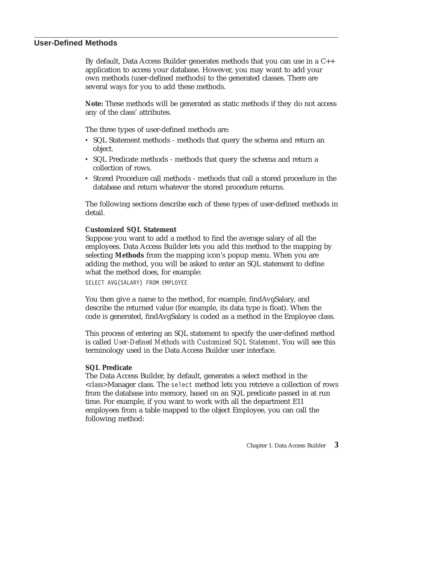### <span id="page-8-0"></span>**User-Defined Methods**

By default, Data Access Builder generates methods that you can use in a C++ application to access your database. However, you may want to add your own methods (user-defined methods) to the generated classes. There are several ways for you to add these methods.

**Note:** These methods will be generated as static methods if they do not access any of the class' attributes.

The three types of user-defined methods are:

- SQL Statement methods methods that query the schema and return an object.
- v SQL Predicate methods methods that query the schema and return a collection of rows.
- v Stored Procedure call methods methods that call a stored procedure in the database and return whatever the stored procedure returns.

The following sections describe each of these types of user-defined methods in detail.

### **Customized SQL Statement**

Suppose you want to add a method to find the average salary of all the employees. Data Access Builder lets you add this method to the mapping by selecting **Methods** from the mapping icon's popup menu. When you are adding the method, you will be asked to enter an SQL statement to define what the method does, for example: SELECT AVG(SALARY) FROM EMPLOYEE

You then give a name to the method, for example, findAvgSalary, and describe the returned value (for example, its data type is float). When the code is generated, findAvgSalary is coded as a method in the Employee class.

This process of entering an SQL statement to specify the user-defined method is called *User-Defined Methods with Customized SQL Statement*. You will see this terminology used in the Data Access Builder user interface.

### **SQL Predicate**

The Data Access Builder, by default, generates a select method in the *<class>*Manager class. The select method lets you retrieve a collection of rows from the database into memory, based on an SQL predicate passed in at run time. For example, if you want to work with all the department E11 employees from a table mapped to the object Employee, you can call the following method: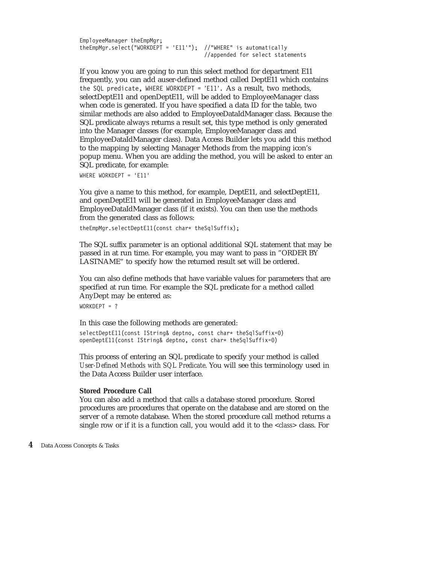EmployeeManager theEmpMgr; theEmpMgr.select("WORKDEPT = 'E11'"); //"WHERE" is automatically //appended for select statements

If you know you are going to run this select method for department E11 frequently, you can add auser-defined method called DeptE11 which contains the SQL predicate, WHERE WORKDEPT = 'E11'. As a result, two methods, selectDeptE11 and openDeptE11, will be added to EmployeeManager class when code is generated. If you have specified a data ID for the table, two similar methods are also added to EmployeeDataIdManager class. Because the SQL predicate always returns a result set, this type method is only generated into the Manager classes (for example, EmployeeManager class and EmployeeDataIdManager class). Data Access Builder lets you add this method to the mapping by selecting Manager Methods from the mapping icon's popup menu. When you are adding the method, you will be asked to enter an SQL predicate, for example:

WHERE WORKDEPT = 'E11'

You give a name to this method, for example, DeptE11, and selectDeptE11, and openDeptE11 will be generated in EmployeeManager class and EmployeeDataIdManager class (if it exists). You can then use the methods from the generated class as follows:

theEmpMgr.selectDeptE11(const char\* theSqlSuffix);

The SQL suffix parameter is an optional additional SQL statement that may be passed in at run time. For example, you may want to pass in "ORDER BY LASTNAME" to specify how the returned result set will be ordered.

You can also define methods that have variable values for parameters that are specified at run time. For example the SQL predicate for a method called AnyDept may be entered as: WORKDEPT = ?

In this case the following methods are generated:

selectDeptE11(const IString& deptno, const char\* theSqlSuffix=0) openDeptE11(const IString& deptno, const char\* theSqlSuffix=0)

This process of entering an SQL predicate to specify your method is called *User-Defined Methods with SQL Predicate*. You will see this terminology used in the Data Access Builder user interface.

### **Stored Procedure Call**

You can also add a method that calls a database stored procedure. Stored procedures are procedures that operate on the database and are stored on the server of a remote database. When the stored procedure call method returns a single row or if it is a function call, you would add it to the *<class>* class. For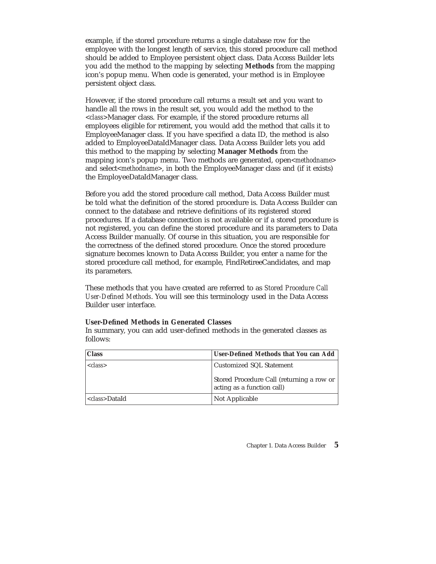example, if the stored procedure returns a single database row for the employee with the longest length of service, this stored procedure call method should be added to Employee persistent object class. Data Access Builder lets you add the method to the mapping by selecting **Methods** from the mapping icon's popup menu. When code is generated, your method is in Employee persistent object class.

However, if the stored procedure call returns a result set and you want to handle all the rows in the result set, you would add the method to the *<class>*Manager class. For example, if the stored procedure returns all employees eligible for retirement, you would add the method that calls it to EmployeeManager class. If you have specified a data ID, the method is also added to EmployeeDataIdManager class. Data Access Builder lets you add this method to the mapping by selecting **Manager Methods** from the mapping icon's popup menu. Two methods are generated, open*<methodname>* and select*<methodname>*, in both the EmployeeManager class and (if it exists) the EmployeeDataIdManager class.

Before you add the stored procedure call method, Data Access Builder must be told what the definition of the stored procedure is. Data Access Builder can connect to the database and retrieve definitions of its registered stored procedures. If a database connection is not available or if a stored procedure is not registered, you can define the stored procedure and its parameters to Data Access Builder manually. Of course in this situation, you are responsible for the correctness of the defined stored procedure. Once the stored procedure signature becomes known to Data Access Builder, you enter a name for the stored procedure call method, for example, FindRetireeCandidates, and map its parameters.

These methods that you have created are referred to as *Stored Procedure Call User-Defined Methods*. You will see this terminology used in the Data Access Builder user interface.

### **User-Defined Methods in Generated Classes**

In summary, you can add user-defined methods in the generated classes as follows:

| <b>Class</b>           | User-Defined Methods that You can Add                                   |
|------------------------|-------------------------------------------------------------------------|
| $<$ class>             | Customized SQL Statement                                                |
|                        | Stored Procedure Call (returning a row or<br>acting as a function call) |
| < <i>class</i> >DataId | <b>Not Applicable</b>                                                   |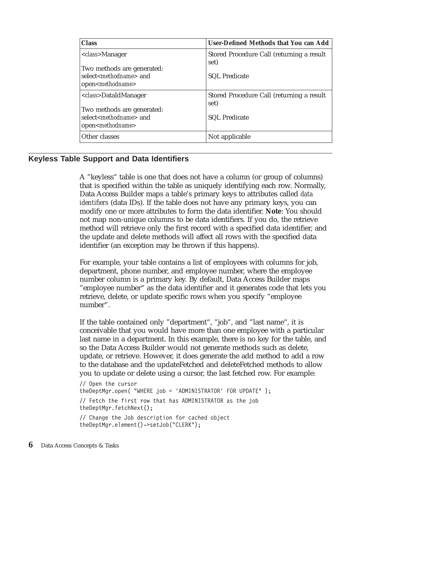<span id="page-11-0"></span>

| <b>Class</b>                                                                                                                          | User-Defined Methods that You can Add                                     |
|---------------------------------------------------------------------------------------------------------------------------------------|---------------------------------------------------------------------------|
| <i><class>Manager</class></i><br>Two methods are generated:<br>select <methodname> and<br/>open<methodname></methodname></methodname> | Stored Procedure Call (returning a result<br>set)<br><b>SQL</b> Predicate |
| < <i>class</i> >DataIdManager<br>Two methods are generated:<br>select <methodname> and<br/>open<methodname></methodname></methodname> | Stored Procedure Call (returning a result<br>set)<br><b>SQL</b> Predicate |
| Other classes                                                                                                                         | Not applicable                                                            |

### **Keyless Table Support and Data Identifiers**

A "keyless" table is one that does not have a column (or group of columns) that is specified within the table as uniquely identifying each row. Normally, Data Access Builder maps a table's primary keys to attributes called *data identifiers* (data IDs). If the table does not have any primary keys, you can modify one or more attributes to form the data identifier. **Note**: You should not map non-unique columns to be data identifiers. If you do, the retrieve method will retrieve only the first record with a specified data identifier, and the update and delete methods will affect all rows with the specified data identifier (an exception may be thrown if this happens).

For example, your table contains a list of employees with columns for job, department, phone number, and employee number, where the employee number column is a primary key. By default, Data Access Builder maps "employee number" as the data identifier and it generates code that lets you retrieve, delete, or update specific rows when you specify "employee number".

If the table contained only "department", "job", and "last name", it is conceivable that you would have more than one employee with a particular last name in a department. In this example, there is no key for the table, and so the Data Access Builder would not generate methods such as delete, update, or retrieve. However, it does generate the add method to add a row to the database and the updateFetched and deleteFetched methods to allow you to update or delete using a cursor, the last fetched row. For example:

// Open the cursor theDeptMgr.open( "WHERE job = 'ADMINISTRATOR' FOR UPDATE" ); // Fetch the first row that has ADMINISTRATOR as the job theDeptMgr.fetchNext(); // Change the Job description for cached object theDeptMgr.element()->setJob("CLERK");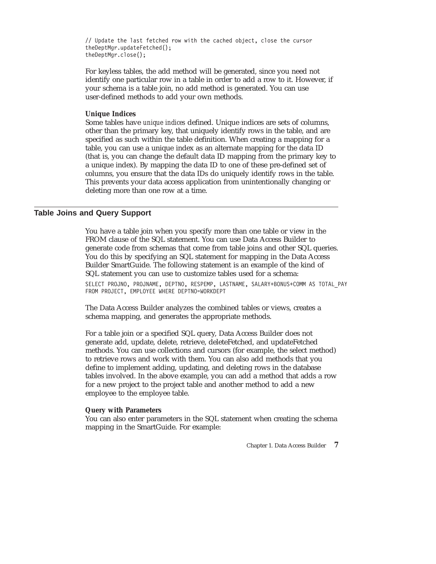<span id="page-12-0"></span>// Update the last fetched row with the cached object, close the cursor theDeptMgr.updateFetched(); theDeptMgr.close();

For keyless tables, the add method will be generated, since you need not identify one particular row in a table in order to add a row to it. However, if your schema is a table join, no add method is generated. You can use user-defined methods to add your own methods.

### **Unique Indices**

Some tables have *unique indices* defined. Unique indices are sets of columns, other than the primary key, that uniquely identify rows in the table, and are specified as such within the table definition. When creating a mapping for a table, you can use a unique index as an alternate mapping for the data ID (that is, you can change the default data ID mapping from the primary key to a unique index). By mapping the data ID to one of these pre-defined set of columns, you ensure that the data IDs do uniquely identify rows in the table. This prevents your data access application from unintentionally changing or deleting more than one row at a time.

### **Table Joins and Query Support**

You have a table join when you specify more than one table or view in the FROM clause of the SQL statement. You can use Data Access Builder to generate code from schemas that come from table joins and other SQL queries. You do this by specifying an SQL statement for mapping in the Data Access Builder SmartGuide. The following statement is an example of the kind of SQL statement you can use to customize tables used for a schema:

SELECT PROJNO, PROJNAME, DEPTNO, RESPEMP, LASTNAME, SALARY+BONUS+COMM AS TOTAL\_PAY FROM PROJECT, EMPLOYEE WHERE DEPTNO=WORKDEPT

The Data Access Builder analyzes the combined tables or views, creates a schema mapping, and generates the appropriate methods.

For a table join or a specified SQL query, Data Access Builder does not generate add, update, delete, retrieve, deleteFetched, and updateFetched methods. You can use collections and cursors (for example, the select method) to retrieve rows and work with them. You can also add methods that you define to implement adding, updating, and deleting rows in the database tables involved. In the above example, you can add a method that adds a row for a new project to the project table and another method to add a new employee to the employee table.

### **Query with Parameters**

You can also enter parameters in the SQL statement when creating the schema mapping in the SmartGuide. For example: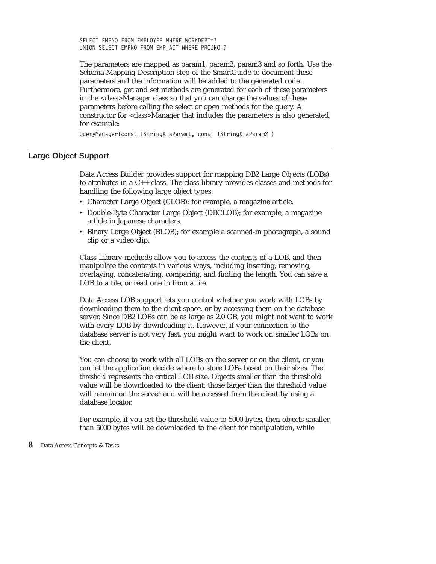<span id="page-13-0"></span>SELECT EMPNO FROM EMPLOYEE WHERE WORKDEPT=? UNION SELECT EMPNO FROM EMP\_ACT WHERE PROJNO=?

The parameters are mapped as param1, param2, param3 and so forth. Use the Schema Mapping Description step of the SmartGuide to document these parameters and the information will be added to the generated code. Furthermore, get and set methods are generated for each of these parameters in the *<class>*Manager class so that you can change the values of these parameters before calling the select or open methods for the query. A constructor for *<class>*Manager that includes the parameters is also generated, for example:

QueryManager(const IString& aParam1, const IString& aParam2 )

### **Large Object Support**

Data Access Builder provides support for mapping DB2 Large Objects (LOBs) to attributes in a C++ class. The class library provides classes and methods for handling the following large object types:

- Character Large Object (CLOB); for example, a magazine article.
- Double-Byte Character Large Object (DBCLOB); for example, a magazine article in Japanese characters.
- v Binary Large Object (BLOB); for example a scanned-in photograph, a sound clip or a video clip.

Class Library methods allow you to access the contents of a LOB, and then manipulate the contents in various ways, including inserting, removing, overlaying, concatenating, comparing, and finding the length. You can save a LOB to a file, or read one in from a file.

Data Access LOB support lets you control whether you work with LOBs by downloading them to the client space, or by accessing them on the database server. Since DB2 LOBs can be as large as 2.0 GB, you might not want to work with every LOB by downloading it. However, if your connection to the database server is not very fast, you might want to work on smaller LOBs on the client.

You can choose to work with all LOBs on the server or on the client, or you can let the application decide where to store LOBs based on their sizes. The *threshold* represents the critical LOB size. Objects smaller than the threshold value will be downloaded to the client; those larger than the threshold value will remain on the server and will be accessed from the client by using a database locator.

For example, if you set the threshold value to 5000 bytes, then objects smaller than 5000 bytes will be downloaded to the client for manipulation, while

**<sup>8</sup>** Data Access Concepts & Tasks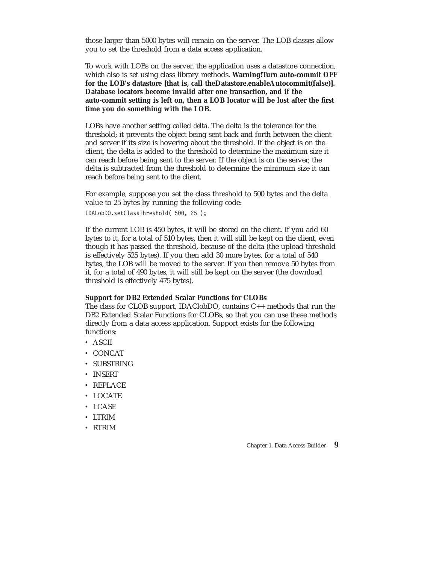those larger than 5000 bytes will remain on the server. The LOB classes allow you to set the threshold from a data access application.

To work with LOBs on the server, the application uses a datastore connection, which also is set using class library methods. **Warning!Turn auto-commit OFF for the LOB's datastore [that is, call theDatastore.enableAutocommit(false)]. Database locators become invalid after one transaction, and if the auto-commit setting is left on, then a LOB locator will be lost after the first time you do something with the LOB.**

LOBs have another setting called *delta*. The delta is the tolerance for the threshold; it prevents the object being sent back and forth between the client and server if its size is hovering about the threshold. If the object is on the client, the delta is added to the threshold to determine the maximum size it can reach before being sent to the server. If the object is on the server, the delta is subtracted from the threshold to determine the minimum size it can reach before being sent to the client.

For example, suppose you set the class threshold to 500 bytes and the delta value to 25 bytes by running the following code: IDALobDO.setClassThreshold( 500, 25 );

If the current LOB is 450 bytes, it will be stored on the client. If you add 60 bytes to it, for a total of 510 bytes, then it will still be kept on the client, even though it has passed the threshold, because of the delta (the upload threshold is effectively 525 bytes). If you then add 30 more bytes, for a total of 540 bytes, the LOB will be moved to the server. If you then remove 50 bytes from it, for a total of 490 bytes, it will still be kept on the server (the download threshold is effectively 475 bytes).

### **Support for DB2 Extended Scalar Functions for CLOBs**

The class for CLOB support, IDAClobDO, contains C++ methods that run the DB2 Extended Scalar Functions for CLOBs, so that you can use these methods directly from a data access application. Support exists for the following functions:

- $\cdot$  ASCII
- $\cdot$  CONCAT
- SUBSTRING
- INSERT
- $\cdot$  REPLACE
- LOCATE
- $\cdot$  LCASE
- v LTRIM
- v RTRIM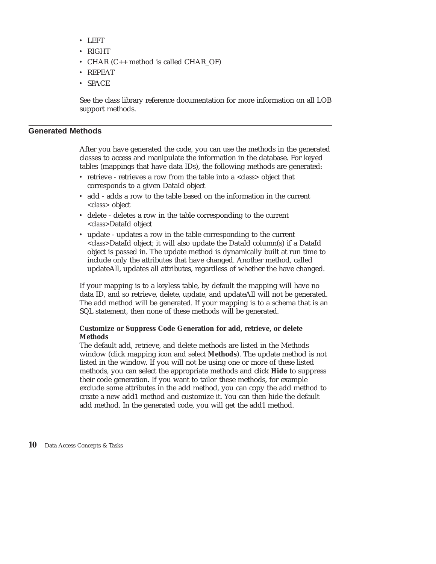- <span id="page-15-0"></span>v LEFT
- $\cdot$  RIGHT
- CHAR (C++ method is called CHAR\_OF)
- REPEAT
- $\cdot$  SPACE

See the class library reference documentation for more information on all LOB support methods.

### **Generated Methods**

After you have generated the code, you can use the methods in the generated classes to access and manipulate the information in the database. For keyed tables (mappings that have data IDs), the following methods are generated:

- v retrieve retrieves a row from the table into a *<class>* object that corresponds to a given DataId object
- v add adds a row to the table based on the information in the current *<class>* object
- v delete deletes a row in the table corresponding to the current *<class>*DataId object
- v update updates a row in the table corresponding to the current *<class>*DataId object; it will also update the DataId column(s) if a DataId object is passed in. The update method is dynamically built at run time to include only the attributes that have changed. Another method, called updateAll, updates all attributes, regardless of whether the have changed.

If your mapping is to a keyless table, by default the mapping will have no data ID, and so retrieve, delete, update, and updateAll will not be generated. The add method will be generated. If your mapping is to a schema that is an SQL statement, then none of these methods will be generated.

### **Customize or Suppress Code Generation for add, retrieve, or delete Methods**

The default add, retrieve, and delete methods are listed in the Methods window (click mapping icon and select **Methods**). The update method is not listed in the window. If you will not be using one or more of these listed methods, you can select the appropriate methods and click **Hide** to suppress their code generation. If you want to tailor these methods, for example exclude some attributes in the add method, you can copy the add method to create a new add1 method and customize it. You can then hide the default add method. In the generated code, you will get the add1 method.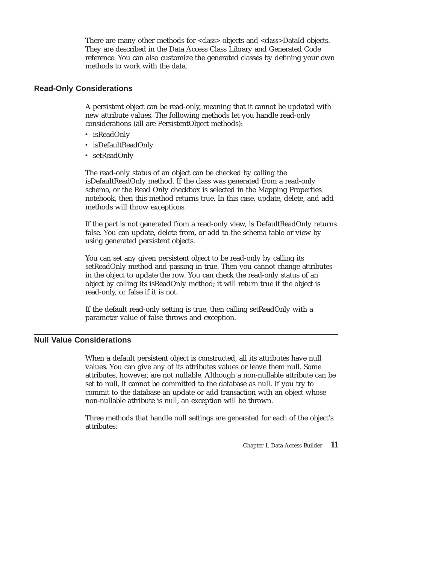There are many other methods for *<class>* objects and *<class>*DataId objects. They are described in the Data Access Class Library and Generated Code reference. You can also customize the generated classes by defining your own methods to work with the data.

### <span id="page-16-0"></span>**Read-Only Considerations**

A persistent object can be read-only, meaning that it cannot be updated with new attribute values. The following methods let you handle read-only considerations (all are PersistentObject methods):

- isReadOnly
- isDefaultReadOnly
- setReadOnly

The read-only status of an object can be checked by calling the isDefaultReadOnly method. If the class was generated from a read-only schema, or the Read Only checkbox is selected in the Mapping Properties notebook, then this method returns true. In this case, update, delete, and add methods will throw exceptions.

If the part is not generated from a read-only view, is DefaultReadOnly returns false. You can update, delete from, or add to the schema table or view by using generated persistent objects.

You can set any given persistent object to be read-only by calling its setReadOnly method and passing in true. Then you cannot change attributes in the object to update the row. You can check the read-only status of an object by calling its isReadOnly method; it will return true if the object is read-only, or false if it is not.

If the default read-only setting is true, then calling setReadOnly with a parameter value of false throws and exception.

### **Null Value Considerations**

When a default persistent object is constructed, all its attributes have null values. You can give any of its attributes values or leave them null. Some attributes, however, are not nullable. Although a non-nullable attribute can be set to null, it cannot be committed to the database as null. If you try to commit to the database an update or add transaction with an object whose non-nullable attribute is null, an exception will be thrown.

Three methods that handle null settings are generated for each of the object's attributes: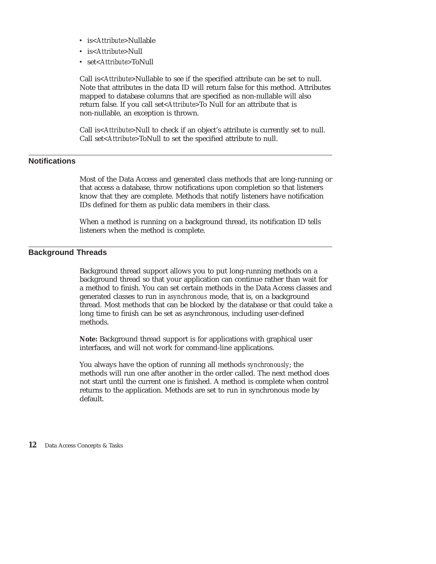- <span id="page-17-0"></span>v is*<Attribute>*Nullable
- v is*<Attribute>*Null
- v set*<Attribute>*ToNull

Call is*<Attribute>*Nullable to see if the specified attribute can be set to null. Note that attributes in the data ID will return false for this method. Attributes mapped to database columns that are specified as non-nullable will also return false. If you call set*<Attribute>*To Null for an attribute that is non-nullable, an exception is thrown.

Call is*<Attribute>*Null to check if an object's attribute is currently set to null. Call set*<Attribute>*ToNull to set the specified attribute to null.

### **Notifications**

Most of the Data Access and generated class methods that are long-running or that access a database, throw notifications upon completion so that listeners know that they are complete. Methods that notify listeners have notification IDs defined for them as public data members in their class.

When a method is running on a background thread, its notification ID tells listeners when the method is complete.

### **Background Threads**

Background thread support allows you to put long-running methods on a background thread so that your application can continue rather than wait for a method to finish. You can set certain methods in the Data Access classes and generated classes to run in *asynchronous* mode, that is, on a background thread. Most methods that can be blocked by the database or that could take a long time to finish can be set as asynchronous, including user-defined methods.

**Note:** Background thread support is for applications with graphical user interfaces, and will not work for command-line applications.

You always have the option of running all methods *synchronously*; the methods will run one after another in the order called. The next method does not start until the current one is finished. A method is complete when control returns to the application. Methods are set to run in synchronous mode by default.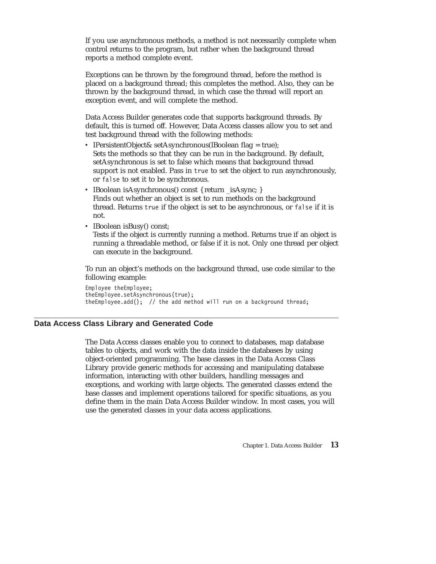<span id="page-18-0"></span>If you use asynchronous methods, a method is not necessarily complete when control returns to the program, but rather when the background thread reports a method complete event.

Exceptions can be thrown by the foreground thread, before the method is placed on a background thread; this completes the method. Also, they can be thrown by the background thread, in which case the thread will report an exception event, and will complete the method.

Data Access Builder generates code that supports background threads. By default, this is turned off. However, Data Access classes allow you to set and test background thread with the following methods:

- IPersistentObject& setAsynchronous(IBoolean flag = true); Sets the methods so that they can be run in the background. By default, setAsynchronous is set to false which means that background thread support is not enabled. Pass in true to set the object to run asynchronously, or false to set it to be synchronous.
- IBoolean isAsynchronous() const { return \_isAsync; } Finds out whether an object is set to run methods on the background thread. Returns true if the object is set to be asynchronous, or false if it is not.
- IBoolean isBusy() const;

Tests if the object is currently running a method. Returns true if an object is running a threadable method, or false if it is not. Only one thread per object can execute in the background.

To run an object's methods on the background thread, use code similar to the following example:

Employee theEmployee; theEmployee.setAsynchronous(true); the Employee.add(); // the add method will run on a background thread;

### **Data Access Class Library and Generated Code**

The Data Access classes enable you to connect to databases, map database tables to objects, and work with the data inside the databases by using object-oriented programming. The base classes in the Data Access Class Library provide generic methods for accessing and manipulating database information, interacting with other builders, handling messages and exceptions, and working with large objects. The generated classes extend the base classes and implement operations tailored for specific situations, as you define them in the main Data Access Builder window. In most cases, you will use the generated classes in your data access applications.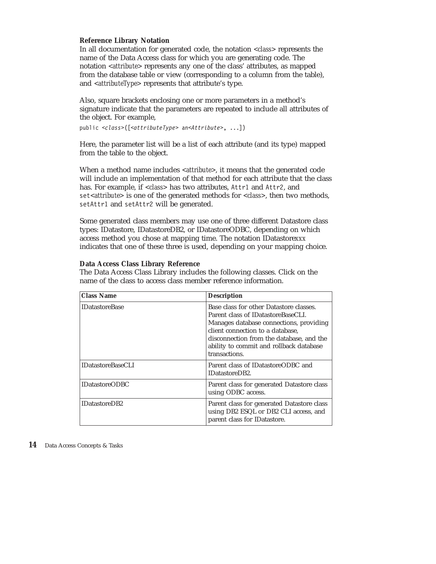### **Reference Library Notation**

In all documentation for generated code, the notation *<class>* represents the name of the Data Access class for which you are generating code. The notation *<attribute>* represents any one of the class' attributes, as mapped from the database table or view (corresponding to a column from the table), and *<attributeType>* represents that attribute's type.

Also, square brackets enclosing one or more parameters in a method's signature indicate that the parameters are repeated to include all attributes of the object. For example,

public *<class>*([*<attributeType>* an*<Attribute>*, ...])

Here, the parameter list will be a list of each attribute (and its type) mapped from the table to the object.

When a method name includes *<attribute>*, it means that the generated code will include an implementation of that method for each attribute that the class has. For example, if *<class>* has two attributes, Attr1 and Attr2, and set*<attribute>* is one of the generated methods for *<class>*, then two methods, setAttr1 and setAttr2 will be generated.

Some generated class members may use one of three different Datastore class types: IDatastore, IDatastoreDB2, or IDatastoreODBC, depending on which access method you chose at mapping time. The notation IDatastore*xxx* indicates that one of these three is used, depending on your mapping choice.

### **Data Access Class Library Reference**

The Data Access Class Library includes the following classes. Click on the name of the class to access class member reference information.

| <b>Class Name</b>        | <b>Description</b>                                                                                                                                                                                                                                                   |
|--------------------------|----------------------------------------------------------------------------------------------------------------------------------------------------------------------------------------------------------------------------------------------------------------------|
| <b>IDatastoreBase</b>    | Base class for other Datastore classes.<br>Parent class of IDatastoreBaseCLI.<br>Manages database connections, providing<br>client connection to a database.<br>disconnection from the database, and the<br>ability to commit and rollback database<br>transactions. |
| <b>IDatastoreBaseCLI</b> | Parent class of IDatastoreODBC and<br><b>IDatastoreDB2.</b>                                                                                                                                                                                                          |
| <b>IDatastoreODBC</b>    | Parent class for generated Datastore class<br>using ODBC access.                                                                                                                                                                                                     |
| <b>IDatastoreDB2</b>     | Parent class for generated Datastore class<br>using DB2 ESQL or DB2 CLI access, and<br>parent class for IDatastore.                                                                                                                                                  |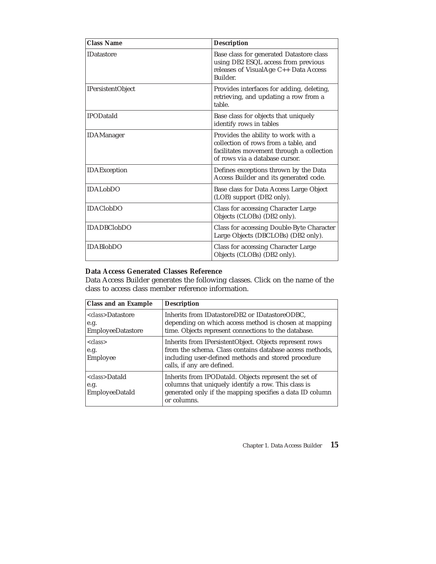| <b>Class Name</b>            | <b>Description</b>                                                                                                                                         |
|------------------------------|------------------------------------------------------------------------------------------------------------------------------------------------------------|
| <b>IDatastore</b>            | Base class for generated Datastore class<br>using DB2 ESQL access from previous<br>releases of VisualAge C++ Data Access<br>Builder.                       |
| <b>IPersistentObject</b>     | Provides interfaces for adding, deleting,<br>retrieving, and updating a row from a<br>table.                                                               |
| <b>IPODataId</b>             | Base class for objects that uniquely<br>identify rows in tables                                                                                            |
| <b>IDAManager</b>            | Provides the ability to work with a<br>collection of rows from a table, and<br>facilitates movement through a collection<br>of rows via a database cursor. |
| IDAException                 | Defines exceptions thrown by the Data<br>Access Builder and its generated code.                                                                            |
| <b>IDAL</b> <sub>ob</sub> DO | Base class for Data Access Large Object<br>(LOB) support (DB2 only).                                                                                       |
| <b>IDAClobDO</b>             | Class for accessing Character Large<br>Objects (CLOBs) (DB2 only).                                                                                         |
| <b>IDADBClobDO</b>           | Class for accessing Double-Byte Character<br>Large Objects (DBCLOBs) (DB2 only).                                                                           |
| <b>IDABlobDO</b>             | Class for accessing Character Large<br>Objects (CLOBs) (DB2 only).                                                                                         |

### **Data Access Generated Classes Reference**

Data Access Builder generates the following classes. Click on the name of the class to access class member reference information.

| <b>Class and an Example</b>                                    | <b>Description</b>                                                                                                                                                                                       |
|----------------------------------------------------------------|----------------------------------------------------------------------------------------------------------------------------------------------------------------------------------------------------------|
| <class>Datastore<br/>e.g.<br/><b>EmployeeDatastore</b></class> | Inherits from IDatastoreDB2 or IDatastoreODBC,<br>depending on which access method is chosen at mapping<br>time. Objects represent connections to the database.                                          |
| $\langle class \rangle$<br>e.g.<br>Employee                    | Inherits from IPersistentObject. Objects represent rows<br>from the schema. Class contains database access methods,<br>including user-defined methods and stored procedure<br>calls, if any are defined. |
| <class>DataId<br/>e.g.<br/><b>EmployeeDataId</b></class>       | Inherits from IPODataId. Objects represent the set of<br>columns that uniquely identify a row. This class is<br>generated only if the mapping specifies a data ID column<br>or columns.                  |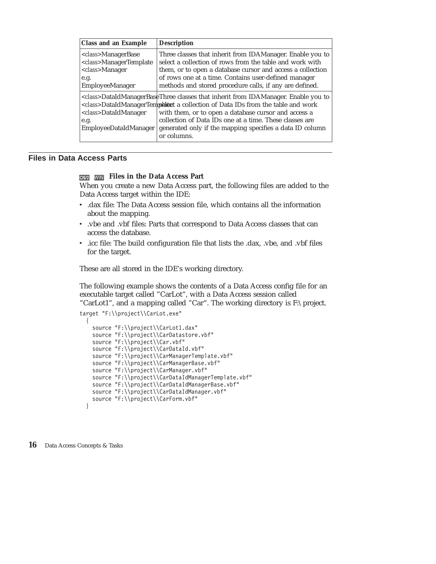<span id="page-21-0"></span>

| <b>Class and an Example</b>                                                                                                        | <b>Description</b>                                                                                                                                                                                                                                                                                                                                                                       |
|------------------------------------------------------------------------------------------------------------------------------------|------------------------------------------------------------------------------------------------------------------------------------------------------------------------------------------------------------------------------------------------------------------------------------------------------------------------------------------------------------------------------------------|
| <i><class>ManagerBase</class></i><br><class>ManagerTemplate<br/><class>Manager<br/>e.g.<br/><b>EmployeeManager</b></class></class> | Three classes that inherit from IDAManager. Enable you to<br>select a collection of rows from the table and work with<br>them, or to open a database cursor and access a collection<br>of rows one at a time. Contains user-defined manager<br>methods and stored procedure calls, if any are defined.                                                                                   |
| <class>DataIdManager<br/>e.g.<br/><b>EmployeeDataIdManager</b></class>                                                             | <class>DataIdManagerBaseThree classes that inherit from IDAManager. Enable you to<br/><class>DataIdManagerTempletured a collection of Data IDs from the table and work<br/>with them, or to open a database cursor and access a<br/>collection of Data IDs one at a time. These classes are<br/>generated only if the mapping specifies a data ID column<br/>or columns.</class></class> |

### **Files in Data Access Parts**

### **Files in the Data Access Part**

When you create a new Data Access part, the following files are added to the Data Access target within the IDE:

- v .dax file: The Data Access session file, which contains all the information about the mapping.
- v .vbe and .vbf files: Parts that correspond to Data Access classes that can access the database.
- v .icc file: The build configuration file that lists the .dax, .vbe, and .vbf files for the target.

These are all stored in the IDE's working directory.

The following example shows the contents of a Data Access config file for an executable target called "CarLot", with a Data Access session called "CarLot1", and a mapping called "Car". The working directory is F:\project.

```
target "F:\\project\\CarLot.exe"
```

```
{
 source "F:\\project\\CarLot1.dax"
 source "F:\\project\\CarDatastore.vbf"
 source "F:\\project\\Car.vbf"
 source "F:\\project\\CarDataId.vbf"
 source "F:\\project\\CarManagerTemplate.vbf"
 source "F:\\project\\CarManagerBase.vbf"
 source "F:\\project\\CarManager.vbf"
 source "F:\\project\\CarDataIdManagerTemplate.vbf"
 source "F:\\project\\CarDataIdManagerBase.vbf"
 source "F:\\project\\CarDataIdManager.vbf"
 source "F:\\project\\CarForm.vbf"
```


}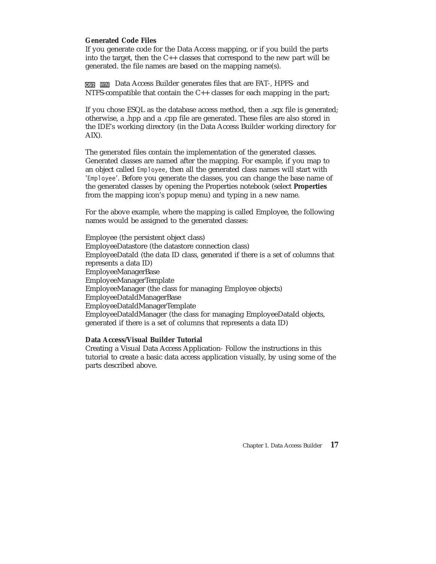### **Generated Code Files**

If you generate code for the Data Access mapping, or if you build the parts into the target, then the C++ classes that correspond to the new part will be generated. the file names are based on the mapping name(s).

**OSPA** WIN Data Access Builder generates files that are FAT-, HPFS- and NTFS-compatible that contain the C++ classes for each mapping in the part;

If you chose ESQL as the database access method, then a .sqx file is generated; otherwise, a .hpp and a .cpp file are generated. These files are also stored in the IDE's working directory (in the Data Access Builder working directory for AIX).

The generated files contain the implementation of the generated classes. Generated classes are named after the mapping. For example, if you map to an object called Employee, then all the generated class names will start with 'Employee'. Before you generate the classes, you can change the base name of the generated classes by opening the Properties notebook (select **Properties** from the mapping icon's popup menu) and typing in a new name.

For the above example, where the mapping is called Employee, the following names would be assigned to the generated classes:

Employee (the persistent object class) EmployeeDatastore (the datastore connection class) EmployeeDataId (the data ID class, generated if there is a set of columns that represents a data ID) EmployeeManagerBase EmployeeManagerTemplate EmployeeManager (the class for managing Employee objects) EmployeeDataIdManagerBase EmployeeDataIdManagerTemplate EmployeeDataIdManager (the class for managing EmployeeDataId objects, generated if there is a set of columns that represents a data ID)

### **Data Access/Visual Builder Tutorial**

Creating a Visual Data Access Application- Follow the instructions in this tutorial to create a basic data access application visually, by using some of the parts described above.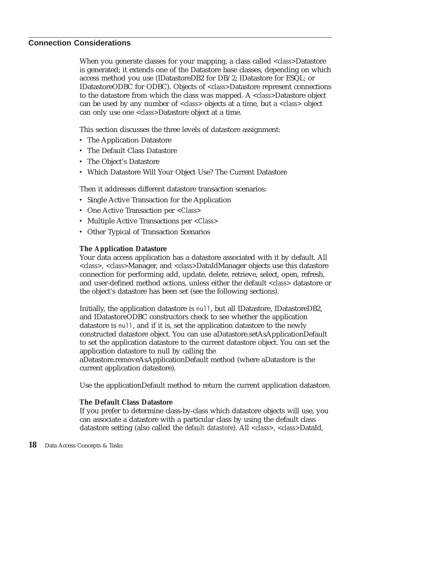### <span id="page-23-0"></span>**Connection Considerations**

When you generate classes for your mapping, a class called *<class>*Datastore is generated; it extends one of the Datastore base classes, depending on which access method you use (IDatastoreDB2 for DB/2; IDatastore for ESQL; or IDatastoreODBC for ODBC). Objects of *<class>*Datastore represent connections to the datastore from which the class was mapped. A *<class>*Datastore object can be used by any number of *<class>* objects at a time, but a *<class>* object can only use one *<class>*Datastore object at a time.

This section discusses the three levels of datastore assignment:

- The Application Datastore
- The Default Class Datastore
- The Object's Datastore
- Which Datastore Will Your Object Use? The Current Datastore

Then it addresses different datastore transaction scenarios:

- Single Active Transaction for the Application
- v One Active Transaction per *<Class>*
- v Multiple Active Transactions per *<Class>*
- Other Typical of Transaction Scenarios

### **The Application Datastore**

Your data access application has a datastore associated with it by default. All *<class>*, *<class>*Manager, and *<class>*DataIdManager objects use this datastore connection for performing add, update, delete, retrieve, select, open, refresh, and user-defined method actions, unless either the default *<class>* datastore or the object's datastore has been set (see the following sections).

Initially, the application datastore is null, but all IDatastore, IDatastoreDB2, and IDatastoreODBC constructors check to see whether the application datastore is null, and if it is, set the application datastore to the newly constructed datastore object. You can use aDatastore.setAsApplicationDefault to set the application datastore to the current datastore object. You can set the application datastore to null by calling the

aDatastore.removeAsApplicationDefault method (where aDatastore is the current application datastore).

Use the applicationDefault method to return the current application datastore.

### **The Default Class Datastore**

If you prefer to determine class-by-class which datastore objects will use, you can associate a datastore with a particular class by using the default class datastore setting (also called the *default datastore*). All *<class>*, *<class>*DataId,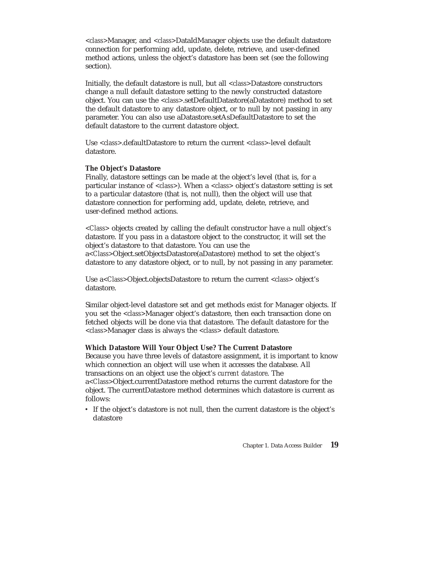*<class>*Manager, and *<class>*DataIdManager objects use the default datastore connection for performing add, update, delete, retrieve, and user-defined method actions, unless the object's datastore has been set (see the following section).

Initially, the default datastore is null, but all *<class>*Datastore constructors change a null default datastore setting to the newly constructed datastore object. You can use the *<class>*.setDefaultDatastore(aDatastore) method to set the default datastore to any datastore object, or to null by not passing in any parameter. You can also use aDatastore.setAsDefaultDatastore to set the default datastore to the current datastore object.

Use *<class>*.defaultDatastore to return the current *<class>*-level default datastore.

### **The Object's Datastore**

Finally, datastore settings can be made at the object's level (that is, for a particular instance of *<class>*). When a *<class>* object's datastore setting is set to a particular datastore (that is, not null), then the object will use that datastore connection for performing add, update, delete, retrieve, and user-defined method actions.

*<Class>* objects created by calling the default constructor have a null object's datastore. If you pass in a datastore object to the constructor, it will set the object's datastore to that datastore. You can use the a*<Class>*Object.setObjectsDatastore(aDatastore) method to set the object's datastore to any datastore object, or to null, by not passing in any parameter.

Use a*<Class>*Object.objectsDatastore to return the current *<class>* object's datastore.

Similar object-level datastore set and get methods exist for Manager objects. If you set the *<class>*Manager object's datastore, then each transaction done on fetched objects will be done via that datastore. The default datastore for the *<class>*Manager class is always the *<class>* default datastore.

### **Which Datastore Will Your Object Use? The Current Datastore**

Because you have three levels of datastore assignment, it is important to know which connection an object will use when it accesses the database. All transactions on an object use the object's *current datastore*. The a*<Class>*Object.currentDatastore method returns the current datastore for the object. The currentDatastore method determines which datastore is current as follows:

v If the object's datastore is not null, then the current datastore is the object's datastore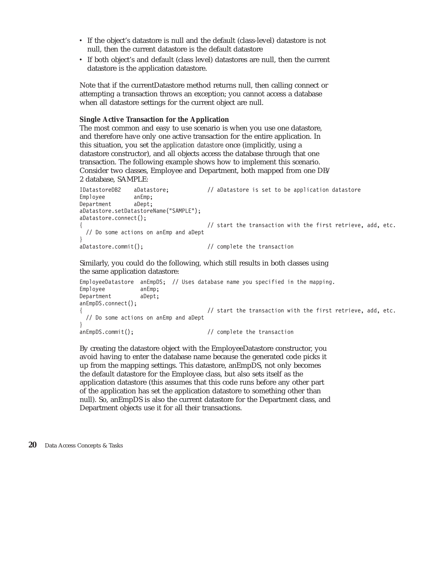- v If the object's datastore is null and the default (class-level) datastore is not null, then the current datastore is the default datastore
- v If both object's and default (class level) datastores are null, then the current datastore is the application datastore.

Note that if the currentDatastore method returns null, then calling connect or attempting a transaction throws an exception; you cannot access a database when all datastore settings for the current object are null.

### **Single Active Transaction for the Application**

The most common and easy to use scenario is when you use one datastore, and therefore have only one active transaction for the entire application. In this situation, you set the *application datastore* once (implicitly, using a datastore constructor), and all objects access the database through that one transaction. The following example shows how to implement this scenario. Consider two classes, Employee and Department, both mapped from one DB/ 2 database, SAMPLE:

```
IDatastoreDB2 aDatastore; // aDatastore is set to be application datastore
Employee anEmp;
Department aDept;
aDatastore.setDatastoreName("SAMPLE");
aDatastore.connect();
                                     \frac{1}{\sqrt{2}} start the transaction with the first retrieve, add, etc.
 // Do some actions on anEmp and aDept
}
aDatastore.commit(); // complete the transaction
```
Similarly, you could do the following, which still results in both classes using the same application datastore:

```
EmployeeDatastore anEmpDS; // Uses database name you specified in the mapping.
Employee anEmp;
Department aDept;
anEmpDS.connect();
                                    \frac{1}{1} start the transaction with the first retrieve, add, etc.
 // Do some actions on anEmp and aDept
}
anEmpDS.commit(); // complete the transaction
```
By creating the datastore object with the EmployeeDatastore constructor, you avoid having to enter the database name because the generated code picks it up from the mapping settings. This datastore, anEmpDS, not only becomes the default datastore for the Employee class, but also sets itself as the application datastore (this assumes that this code runs before any other part of the application has set the application datastore to something other than null). So, anEmpDS is also the current datastore for the Department class, and Department objects use it for all their transactions.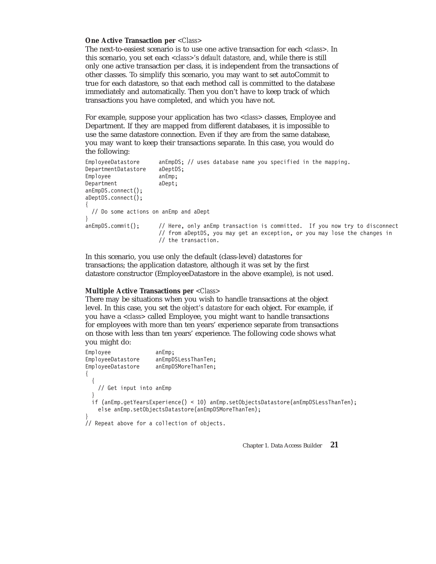#### **One Active Transaction per** *<Class>*

The next-to-easiest scenario is to use one active transaction for each *<class>*. In this scenario, you set each *<class>*'s *default datastore*, and, while there is still only one active transaction per class, it is independent from the transactions of other classes. To simplify this scenario, you may want to set autoCommit to true for each datastore, so that each method call is committed to the database immediately and automatically. Then you don't have to keep track of which transactions you have completed, and which you have not.

For example, suppose your application has two *<class>* classes, Employee and Department. If they are mapped from different databases, it is impossible to use the same datastore connection. Even if they are from the same database, you may want to keep their transactions separate. In this case, you would do the following:

```
EmployeeDatastore anEmpDS; // uses database name you specified in the mapping.
DepartmentDatastore aDeptDS;
Employee anEmp;
Department aDept;
anEmpDS.connect();
aDeptDS.connect();
{
  // Do some actions on anEmp and aDept
}
anEmpDS.commit(); // Here, only anEmp transaction is committed. If you now try to disconnect
                     // from aDeptDS, you may get an exception, or you may lose the changes in
                     // the transaction.
```
In this scenario, you use only the default (class-level) datastores for transactions; the application datastore, although it was set by the first datastore constructor (EmployeeDatastore in the above example), is not used.

#### **Multiple Active Transactions per** *<Class>*

There may be situations when you wish to handle transactions at the object level. In this case, you set the *object's datastore* for each object. For example, if you have a *<class>* called Employee, you might want to handle transactions for employees with more than ten years' experience separate from transactions on those with less than ten years' experience. The following code shows what you might do:

```
Employee anEmp;<br>EmployeeDatastore anEmpD
                       anEmpDSLessThanTen;
EmployeeDatastore anEmpDSMoreThanTen;
{
  {
    // Get input into anEmp
  }
  if (anEmp.getYearsExperience() < 10) anEmp.setObjectsDatastore(anEmpDSLessThanTen);
    else anEmp.setObjectsDatastore(anEmpDSMoreThanTen);
}
// Repeat above for a collection of objects.
```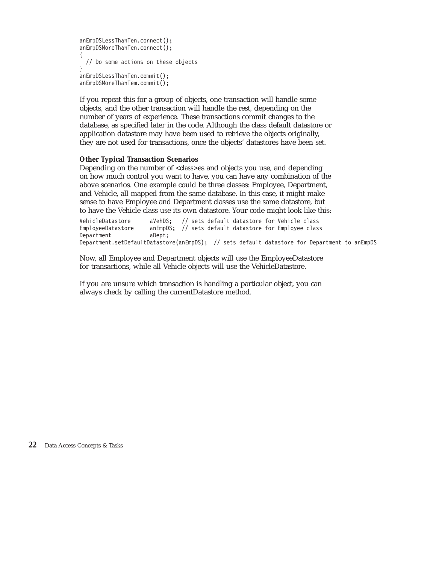```
anEmpDSLessThanTen.connect();
anEmpDSMoreThanTen.connect();
{
 // Do some actions on these objects
}
anEmpDSLessThanTen.commit();
anEmpDSMoreThanTem.commit();
```
If you repeat this for a group of objects, one transaction will handle some objects, and the other transaction will handle the rest, depending on the number of years of experience. These transactions commit changes to the database, as specified later in the code. Although the class default datastore or application datastore may have been used to retrieve the objects originally, they are not used for transactions, once the objects' datastores have been set.

### **Other Typical Transaction Scenarios**

Depending on the number of *<class>*es and objects you use, and depending on how much control you want to have, you can have any combination of the above scenarios. One example could be three classes: Employee, Department, and Vehicle, all mapped from the same database. In this case, it might make sense to have Employee and Department classes use the same datastore, but to have the Vehicle class use its own datastore. Your code might look like this:

VehicleDatastore aVehDS; // sets default datastore for Vehicle class<br>EmployeeDatastore anEmpDS; // sets default datastore for Employee class anEmpDS; // sets default datastore for Employee class Department aDept; Department.setDefaultDatastore(anEmpDS); // sets default datastore for Department to anEmpDS

Now, all Employee and Department objects will use the EmployeeDatastore for transactions, while all Vehicle objects will use the VehicleDatastore.

If you are unsure which transaction is handling a particular object, you can always check by calling the currentDatastore method.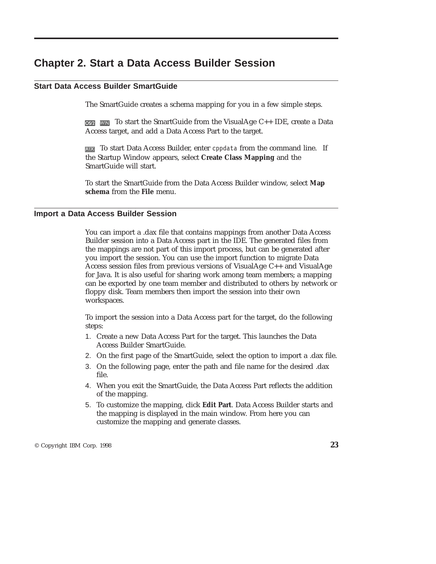### <span id="page-28-0"></span>**Chapter 2. Start a Data Access Builder Session**

### **Start Data Access Builder SmartGuide**

The SmartGuide creates a schema mapping for you in a few simple steps.

 $\overline{OS22}$  WIN To start the SmartGuide from the VisualAge C++ IDE, create a Data Access target, and add a Data Access Part to the target.

**AIX** To start Data Access Builder, enter cppdata from the command line. If the Startup Window appears, select **Create Class Mapping** and the SmartGuide will start.

To start the SmartGuide from the Data Access Builder window, select **Map schema** from the **File** menu.

### **Import a Data Access Builder Session**

You can import a .dax file that contains mappings from another Data Access Builder session into a Data Access part in the IDE. The generated files from the mappings are not part of this import process, but can be generated after you import the session. You can use the import function to migrate Data Access session files from previous versions of VisualAge C++ and VisualAge for Java. It is also useful for sharing work among team members; a mapping can be exported by one team member and distributed to others by network or floppy disk. Team members then import the session into their own workspaces.

To import the session into a Data Access part for the target, do the following steps:

- 1. Create a new Data Access Part for the target. This launches the Data Access Builder SmartGuide.
- 2. On the first page of the SmartGuide, select the option to import a .dax file.
- 3. On the following page, enter the path and file name for the desired .dax file.
- 4. When you exit the SmartGuide, the Data Access Part reflects the addition of the mapping.
- 5. To customize the mapping, click **Edit Part**. Data Access Builder starts and the mapping is displayed in the main window. From here you can customize the mapping and generate classes.

© Copyright IBM Corp. 1998 **23**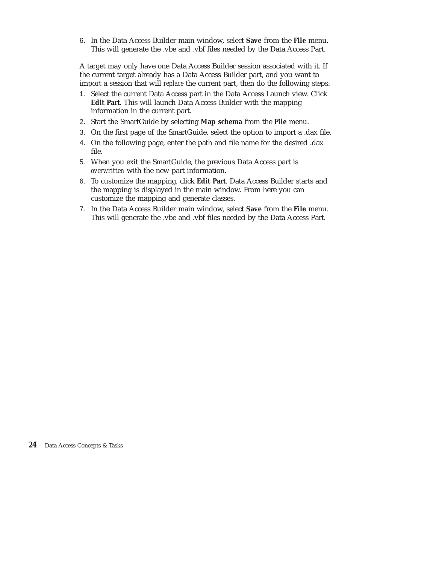6. In the Data Access Builder main window, select **Save** from the **File** menu. This will generate the .vbe and .vbf files needed by the Data Access Part.

A target may only have one Data Access Builder session associated with it. If the current target already has a Data Access Builder part, and you want to import a session that will *replace* the current part, then do the following steps:

- 1. Select the current Data Access part in the Data Access Launch view. Click **Edit Part**. This will launch Data Access Builder with the mapping information in the current part.
- 2. Start the SmartGuide by selecting **Map schema** from the **File** menu.
- 3. On the first page of the SmartGuide, select the option to import a .dax file.
- 4. On the following page, enter the path and file name for the desired .dax file.
- 5. When you exit the SmartGuide, the previous Data Access part is *overwritten* with the new part information.
- 6. To customize the mapping, click **Edit Part**. Data Access Builder starts and the mapping is displayed in the main window. From here you can customize the mapping and generate classes.
- 7. In the Data Access Builder main window, select **Save** from the **File** menu. This will generate the .vbe and .vbf files needed by the Data Access Part.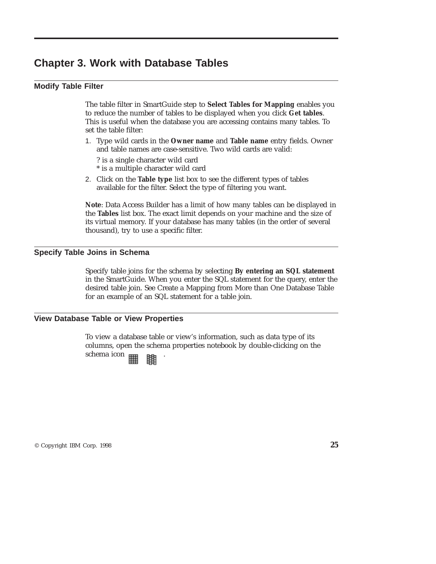### <span id="page-30-0"></span>**Chapter 3. Work with Database Tables**

### **Modify Table Filter**

The table filter in SmartGuide step to **Select Tables for Mapping** enables you to reduce the number of tables to be displayed when you click **Get tables**. This is useful when the database you are accessing contains many tables. To set the table filter:

- 1. Type wild cards in the **Owner name** and **Table name** entry fields. Owner and table names are case-sensitive. Two wild cards are valid:
	- ? is a single character wild card
	- \* is a multiple character wild card
- 2. Click on the **Table type** list box to see the different types of tables available for the filter. Select the type of filtering you want.

**Note**: Data Access Builder has a limit of how many tables can be displayed in the **Tables** list box. The exact limit depends on your machine and the size of its virtual memory. If your database has many tables (in the order of several thousand), try to use a specific filter.

### **Specify Table Joins in Schema**

Specify table joins for the schema by selecting **By entering an SQL statement** in the SmartGuide. When you enter the SQL statement for the query, enter the desired table join. See Create a Mapping from More than One Database Table for an example of an SQL statement for a table join.

### **View Database Table or View Properties**

To view a database table or view's information, such as data type of its columns, open the schema properties notebook by double-clicking on the schema icon .

© Copyright IBM Corp. 1998 **25**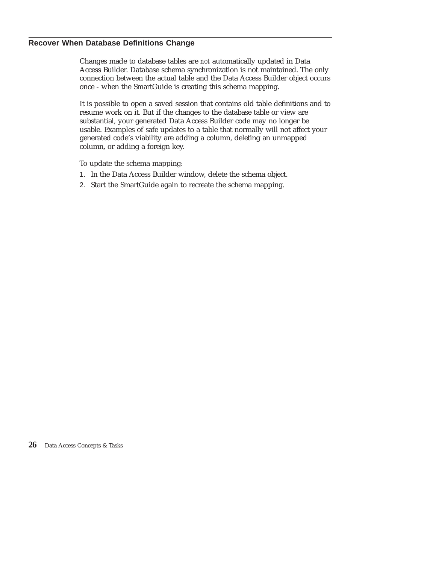### <span id="page-31-0"></span>**Recover When Database Definitions Change**

Changes made to database tables are *not* automatically updated in Data Access Builder. Database schema synchronization is not maintained. The only connection between the actual table and the Data Access Builder object occurs once - when the SmartGuide is creating this schema mapping.

It is possible to open a saved session that contains old table definitions and to resume work on it. But if the changes to the database table or view are substantial, your generated Data Access Builder code may no longer be usable. Examples of safe updates to a table that normally will not affect your generated code's viability are adding a column, deleting an unmapped column, or adding a foreign key.

To update the schema mapping:

- 1. In the Data Access Builder window, delete the schema object.
- 2. Start the SmartGuide again to recreate the schema mapping.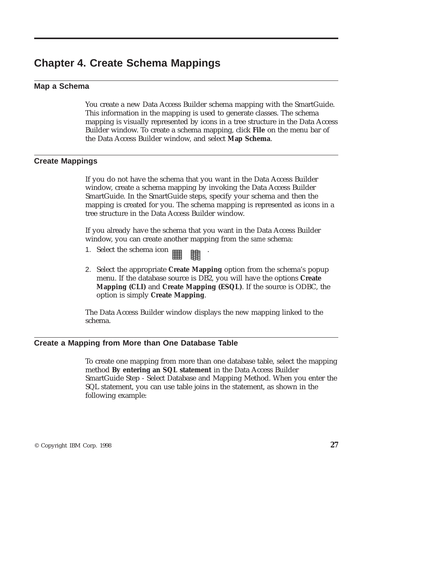### <span id="page-32-0"></span>**Chapter 4. Create Schema Mappings**

### **Map a Schema**

You create a new Data Access Builder schema mapping with the SmartGuide. This information in the mapping is used to generate classes. The schema mapping is visually represented by icons in a tree structure in the Data Access Builder window. To create a schema mapping, click **File** on the menu bar of the Data Access Builder window, and select **Map Schema**.

### **Create Mappings**

If you do not have the schema that you want in the Data Access Builder window, create a schema mapping by invoking the Data Access Builder SmartGuide. In the SmartGuide steps, specify your schema and then the mapping is created for you. The schema mapping is represented as icons in a tree structure in the Data Access Builder window.

If you already have the schema that you want in the Data Access Builder window, you can create another mapping from the *same* schema:

- 1. Select the schema icon  $\mathbb{H}$  .
- 2. Select the appropriate **Create Mapping** option from the schema's popup menu. If the database source is DB2, you will have the options **Create Mapping (CLI)** and **Create Mapping (ESQL)**. If the source is ODBC, the option is simply **Create Mapping**.

The Data Access Builder window displays the new mapping linked to the schema.

### **Create a Mapping from More than One Database Table**

To create one mapping from more than one database table, select the mapping method **By entering an SQL statement** in the Data Access Builder SmartGuide Step - Select Database and Mapping Method. When you enter the SQL statement, you can use table joins in the statement, as shown in the following example:

© Copyright IBM Corp. 1998 **27**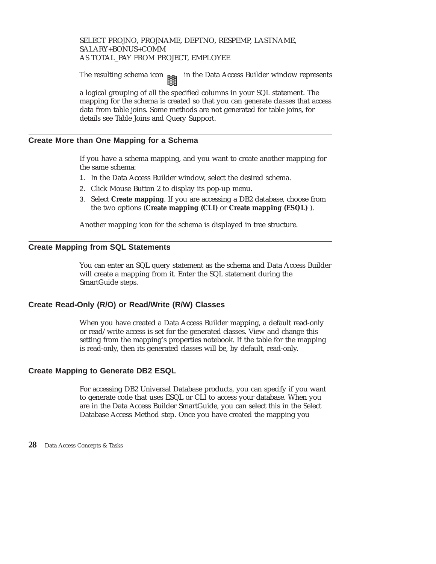<span id="page-33-0"></span>SELECT PROJNO, PROJNAME, DEPTNO, RESPEMP, LASTNAME, SALARY+BONUS+COMM AS TOTAL\_PAY FROM PROJECT, EMPLOYEE

The resulting schema icon  $\mathbb{H}$  in the Data Access Builder window represents

a logical grouping of all the specified columns in your SQL statement. The mapping for the schema is created so that you can generate classes that access data from table joins. Some methods are not generated for table joins, for details see Table Joins and Query Support.

### **Create More than One Mapping for a Schema**

If you have a schema mapping, and you want to create another mapping for the same schema:

- 1. In the Data Access Builder window, select the desired schema.
- 2. Click Mouse Button 2 to display its pop-up menu.
- 3. Select **Create mapping**. If you are accessing a DB2 database, choose from the two options (**Create mapping (CLI)** or **Create mapping (ESQL)** ).

Another mapping icon for the schema is displayed in tree structure.

### **Create Mapping from SQL Statements**

You can enter an SQL query statement as the schema and Data Access Builder will create a mapping from it. Enter the SQL statement during the SmartGuide steps.

### **Create Read-Only (R/O) or Read/Write (R/W) Classes**

When you have created a Data Access Builder mapping, a default read-only or read/write access is set for the generated classes. View and change this setting from the mapping's properties notebook. If the table for the mapping is read-only, then its generated classes will be, by default, read-only.

### **Create Mapping to Generate DB2 ESQL**

For accessing DB2 Universal Database products, you can specify if you want to generate code that uses ESQL or CLI to access your database. When you are in the Data Access Builder SmartGuide, you can select this in the Select Database Access Method step. Once you have created the mapping you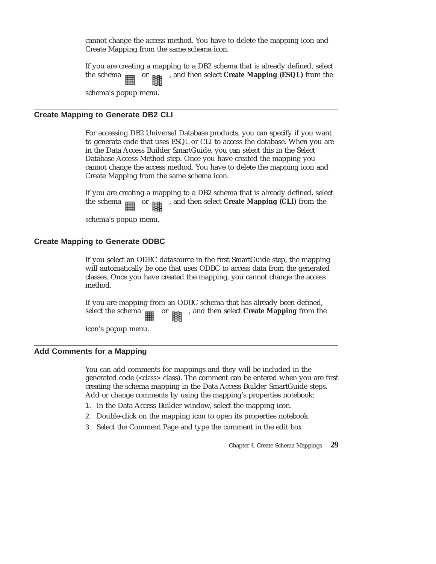<span id="page-34-0"></span>cannot change the access method. You have to delete the mapping icon and Create Mapping from the same schema icon.

If you are creating a mapping to a DB2 schema that is already defined, select the schema or , and then select **Create Mapping (ESQL)** from the

schema's popup menu.

### **Create Mapping to Generate DB2 CLI**

For accessing DB2 Universal Database products, you can specify if you want to generate code that uses ESQL or CLI to access the database. When you are in the Data Access Builder SmartGuide, you can select this in the Select Database Access Method step. Once you have created the mapping you cannot change the access method. You have to delete the mapping icon and Create Mapping from the same schema icon.

If you are creating a mapping to a DB2 schema that is already defined, select the schema  $_{\text{min}}$  or  $_{\text{min}}$ , and then select **Create Mapping (CLI)** from the

schema's popup menu.

### **Create Mapping to Generate ODBC**

If you select an ODBC datasource in the first SmartGuide step, the mapping will automatically be one that uses ODBC to access data from the generated classes. Once you have created the mapping, you cannot change the access method.

If you are mapping from an ODBC schema that has already been defined, select the schema  $_{\text{min}}$  or  $_{\text{min}}$ , and then select **Create Mapping** from the

icon's popup menu.

### **Add Comments for a Mapping**

You can add comments for mappings and they will be included in the generated code (*<class>* class). The comment can be entered when you are first creating the schema mapping in the Data Access Builder SmartGuide steps. Add or change comments by using the mapping's properties notebook:

- 1. In the Data Access Builder window, select the mapping icon.
- 2. Double-click on the mapping icon to open its properties notebook.
- 3. Select the Comment Page and type the comment in the edit box.

Chapter 4. Create Schema Mappings **29**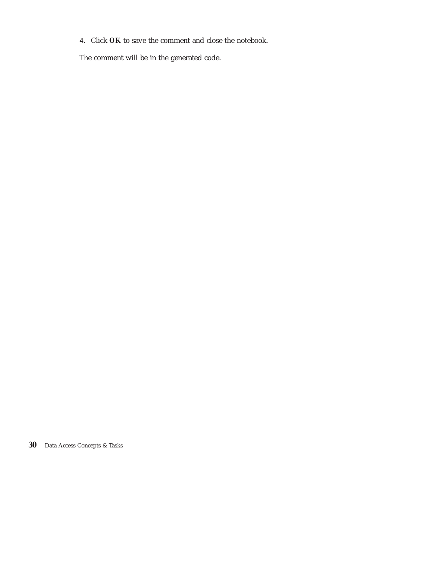4. Click **OK** to save the comment and close the notebook.

The comment will be in the generated code.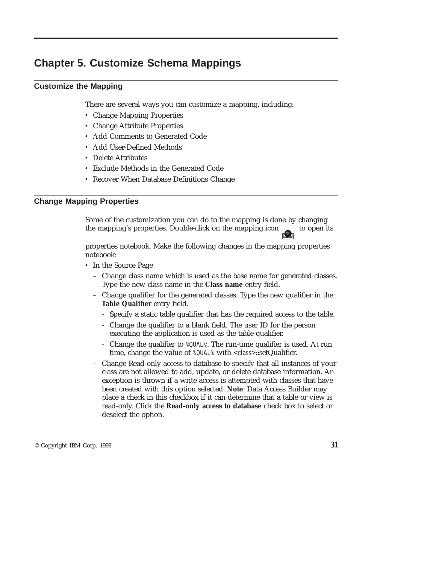# **Chapter 5. Customize Schema Mappings**

# **Customize the Mapping**

There are several ways you can customize a mapping, including:

- Change Mapping Properties
- Change Attribute Properties
- v Add Comments to Generated Code
- Add User-Defined Methods
- Delete Attributes
- v Exclude Methods in the Generated Code
- Recover When Database Definitions Change

# **Change Mapping Properties**

Some of the customization you can do to the mapping is done by changing the mapping's properties. Double-click on the mapping icon to open its

properties notebook. Make the following changes in the mapping properties notebook:

- In the Source Page
	- Change class name which is used as the base name for generated classes. Type the new class name in the **Class name** entry field.
	- Change qualifier for the generated classes. Type the new qualifier in the **Table Qualifier** entry field.
		- Specify a static table qualifier that has the required access to the table.
		- Change the qualifier to a blank field. The user ID for the person executing the application is used as the table qualifier.
		- Change the qualifier to %QUAL%. The run-time qualifier is used. At run time, change the value of %QUAL% with *<class>*::setQualifier.
	- Change Read-only access to database to specify that all instances of your class are not allowed to add, update, or delete database information. An exception is thrown if a write access is attempted with classes that have been created with this option selected. **Note**: Data Access Builder may place a check in this checkbox if it can determine that a table or view is read-only. Click the **Read-only access to database** check box to select or deselect the option.

© Copyright IBM Corp. 1998 **31**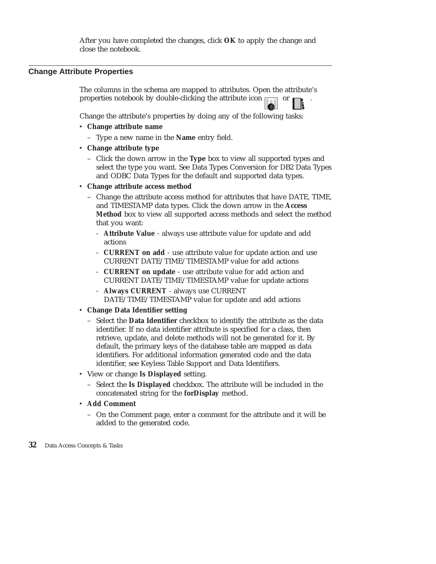After you have completed the changes, click **OK** to apply the change and close the notebook.

# **Change Attribute Properties**

The columns in the schema are mapped to attributes. Open the attribute's properties notebook by double-clicking the attribute icon

Change the attribute's properties by doing any of the following tasks:

- v **Change attribute name**
	- Type a new name in the **Name** entry field.
- v **Change attribute type**
	- Click the down arrow in the **Type** box to view all supported types and select the type you want. See Data Types Conversion for DB2 Data Types and ODBC Data Types for the default and supported data types.
- v **Change attribute access method**
	- Change the attribute access method for attributes that have DATE, TIME, and TIMESTAMP data types. Click the down arrow in the **Access Method** box to view all supported access methods and select the method that you want:
		- **Attribute Value** always use attribute value for update and add actions
		- **CURRENT on add** use attribute value for update action and use CURRENT DATE/TIME/TIMESTAMP value for add actions
		- **CURRENT on update** use attribute value for add action and CURRENT DATE/TIME/TIMESTAMP value for update actions
		- **Always CURRENT** always use CURRENT DATE/TIME/TIMESTAMP value for update and add actions
- v **Change Data Identifier setting**
	- Select the **Data Identifier** checkbox to identify the attribute as the data identifier. If no data identifier attribute is specified for a class, then retrieve, update, and delete methods will not be generated for it. By default, the primary keys of the database table are mapped as data identifiers. For additional information generated code and the data identifier, see Keyless Table Support and Data Identifiers.
- v View or change **Is Displayed** setting.
	- Select the **Is Displayed** checkbox. The attribute will be included in the concatenated string for the **forDisplay** method.
- v **Add Comment**
	- On the Comment page, enter a comment for the attribute and it will be added to the generated code.
- **32** Data Access Concepts & Tasks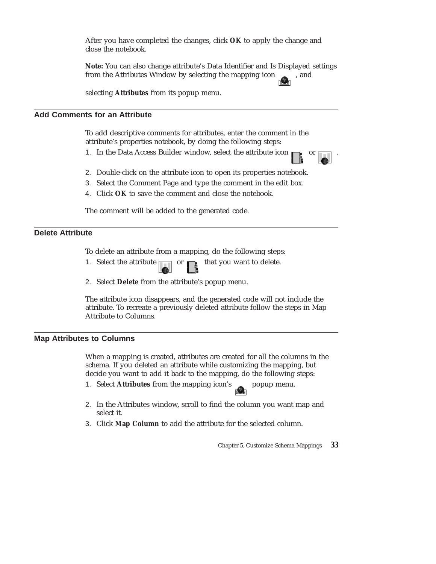After you have completed the changes, click **OK** to apply the change and close the notebook.

**Note:** You can also change attribute's Data Identifier and Is Displayed settings from the Attributes Window by selecting the mapping icon , and

selecting **Attributes** from its popup menu.

# **Add Comments for an Attribute**

To add descriptive comments for attributes, enter the comment in the attribute's properties notebook, by doing the following steps:

- 1. In the Data Access Builder window, select the attribute icon  $\Box$  or
	-
- 2. Double-click on the attribute icon to open its properties notebook.
- 3. Select the Comment Page and type the comment in the edit box.
- 4. Click **OK** to save the comment and close the notebook.

The comment will be added to the generated code.

# **Delete Attribute**

To delete an attribute from a mapping, do the following steps:

- 1. Select the attribute or that you want to delete.
- 2. Select **Delete** from the attribute's popup menu.

The attribute icon disappears, and the generated code will not include the attribute. To recreate a previously deleted attribute follow the steps in Map Attribute to Columns.

### **Map Attributes to Columns**

When a mapping is created, attributes are created for all the columns in the schema. If you deleted an attribute while customizing the mapping, but decide you want to add it back to the mapping, do the following steps:

- 1. Select **Attributes** from the mapping icon's popup menu.
- 2. In the Attributes window, scroll to find the column you want map and select it.
- 3. Click **Map Column** to add the attribute for the selected column.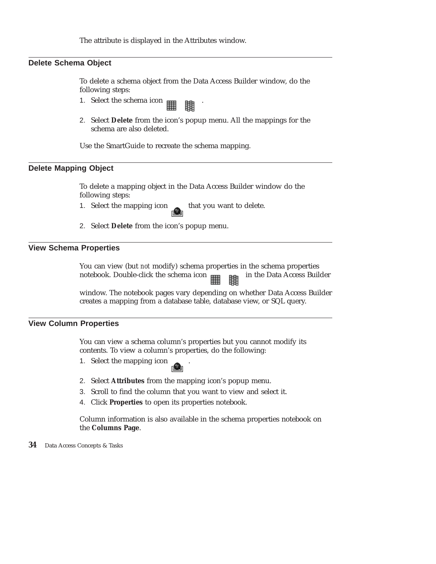The attribute is displayed in the Attributes window.

# **Delete Schema Object**

To delete a schema object from the Data Access Builder window, do the following steps:

- 1. Select the schema icon  $\mathbb{H}$  .
- 2. Select **Delete** from the icon's popup menu. All the mappings for the schema are also deleted.

Use the SmartGuide to recreate the schema mapping.

# **Delete Mapping Object**

To delete a mapping object in the Data Access Builder window do the following steps:

- 1. Select the mapping icon that you want to delete.
- 2. Select **Delete** from the icon's popup menu.

# **View Schema Properties**

You can view (but *not* modify) schema properties in the schema properties notebook. Double-click the schema icon **in the Data Access Builder** 

window. The notebook pages vary depending on whether Data Access Builder creates a mapping from a database table, database view, or SQL query.

### **View Column Properties**

You can view a schema column's properties but you cannot modify its contents. To view a column's properties, do the following:

- 1. Select the mapping icon
- 2. Select **Attributes** from the mapping icon's popup menu.
- 3. Scroll to find the column that you want to view and select it.
- 4. Click **Properties** to open its properties notebook.

Column information is also available in the schema properties notebook on the **Columns Page**.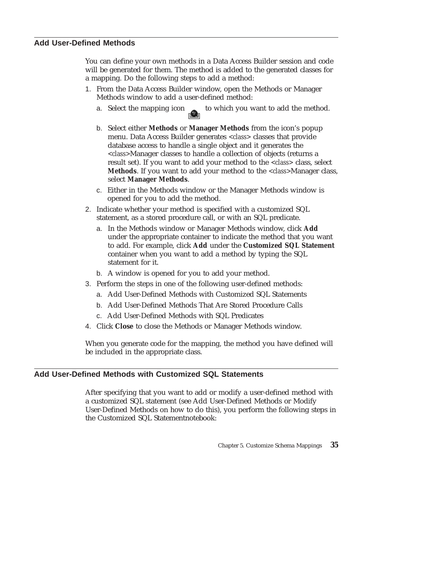### **Add User-Defined Methods**

You can define your own methods in a Data Access Builder session and code will be generated for them. The method is added to the generated classes for a mapping. Do the following steps to add a method:

- 1. From the Data Access Builder window, open the Methods or Manager Methods window to add a user-defined method:
	- a. Select the mapping icon to which you want to add the method.
	- b. Select either **Methods** or **Manager Methods** from the icon's popup menu. Data Access Builder generates *<class>* classes that provide database access to handle a single object and it generates the *<class>*Manager classes to handle a collection of objects (returns a result set). If you want to add your method to the *<class>* class, select **Methods**. If you want to add your method to the *<class>*Manager class, select **Manager Methods**.
	- c. Either in the Methods window or the Manager Methods window is opened for you to add the method.
- 2. Indicate whether your method is specified with a customized SQL statement, as a stored procedure call, or with an SQL predicate.
	- a. In the Methods window or Manager Methods window, click **Add** under the appropriate container to indicate the method that you want to add. For example, click **Add** under the **Customized SQL Statement** container when you want to add a method by typing the SQL statement for it.
	- b. A window is opened for you to add your method.
- 3. Perform the steps in one of the following user-defined methods:
	- a. Add User-Defined Methods with Customized SQL Statements
	- b. Add User-Defined Methods That Are Stored Procedure Calls
	- c. Add User-Defined Methods with SQL Predicates
- 4. Click **Close** to close the Methods or Manager Methods window.

When you generate code for the mapping, the method you have defined will be included in the appropriate class.

# **Add User-Defined Methods with Customized SQL Statements**

After specifying that you want to add or modify a user-defined method with a customized SQL statement (see Add User-Defined Methods or Modify User-Defined Methods on how to do this), you perform the following steps in the Customized SQL Statementnotebook: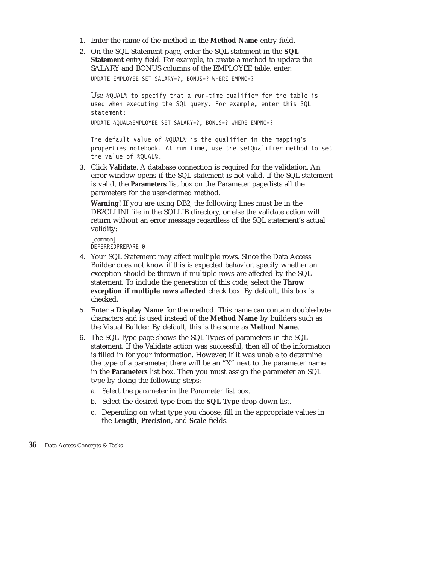- 1. Enter the name of the method in the **Method Name** entry field.
- 2. On the SQL Statement page, enter the SQL statement in the **SQL Statement** entry field. For example, to create a method to update the SALARY and BONUS columns of the EMPLOYEE table, enter: UPDATE EMPLOYEE SET SALARY=?, BONUS=? WHERE EMPNO=?

Use %QUAL% to specify that a run-time qualifier for the table is used when executing the SQL query. For example, enter this SQL statement:

UPDATE %QUAL%EMPLOYEE SET SALARY=?, BONUS=? WHERE EMPNO=?

The default value of %QUAL% is the qualifier in the mapping's properties notebook. At run time, use the setQualifier method to set the value of %QUAL%.

3. Click **Validate**. A database connection is required for the validation. An error window opens if the SQL statement is not valid. If the SQL statement is valid, the **Parameters** list box on the Parameter page lists all the parameters for the user-defined method.

**Warning!** If you are using DB2, the following lines must be in the DB2CLI.INI file in the SQLLIB directory, or else the validate action will return without an error message regardless of the SQL statement's actual validity:

```
[common]
DEFERREDPREPARE=0
```
- 4. Your SQL Statement may affect multiple rows. Since the Data Access Builder does not know if this is expected behavior, specify whether an exception should be thrown if multiple rows are affected by the SQL statement. To include the generation of this code, select the **Throw exception if multiple rows affected** check box. By default, this box is checked.
- 5. Enter a **Display Name** for the method. This name can contain double-byte characters and is used instead of the **Method Name** by builders such as the Visual Builder. By default, this is the same as **Method Name**.
- 6. The SQL Type page shows the SQL Types of parameters in the SQL statement. If the Validate action was successful, then all of the information is filled in for your information. However, if it was unable to determine the type of a parameter, there will be an "X" next to the parameter name in the **Parameters** list box. Then you must assign the parameter an SQL type by doing the following steps:
	- a. Select the parameter in the Parameter list box.
	- b. Select the desired type from the **SQL Type** drop-down list.
	- c. Depending on what type you choose, fill in the appropriate values in the **Length**, **Precision**, and **Scale** fields.
- **36** Data Access Concepts & Tasks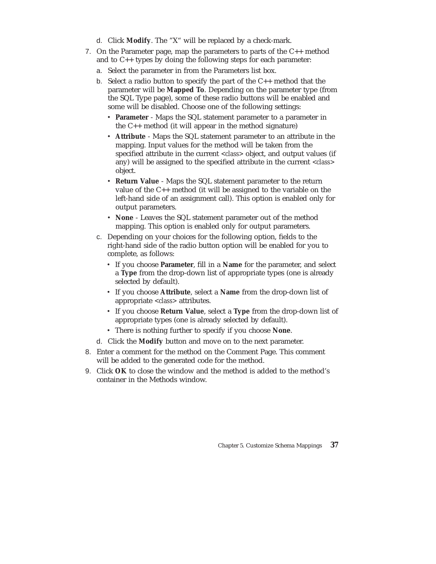- d. Click **Modify**. The "X" will be replaced by a check-mark.
- 7. On the Parameter page, map the parameters to parts of the C++ method and to C++ types by doing the following steps for each parameter:
	- a. Select the parameter in from the Parameters list box.
	- b. Select a radio button to specify the part of the C++ method that the parameter will be **Mapped To**. Depending on the parameter type (from the SQL Type page), some of these radio buttons will be enabled and some will be disabled. Choose one of the following settings:
		- v **Parameter** Maps the SQL statement parameter to a parameter in the C++ method (it will appear in the method signature)
		- v **Attribute** Maps the SQL statement parameter to an attribute in the mapping. Input values for the method will be taken from the specified attribute in the current *<class>* object, and output values (if any) will be assigned to the specified attribute in the current *<class>* object.
		- v **Return Value** Maps the SQL statement parameter to the return value of the C++ method (it will be assigned to the variable on the left-hand side of an assignment call). This option is enabled only for output parameters.
		- v **None** Leaves the SQL statement parameter out of the method mapping. This option is enabled only for output parameters.
	- c. Depending on your choices for the following option, fields to the right-hand side of the radio button option will be enabled for you to complete, as follows:
		- v If you choose **Parameter**, fill in a **Name** for the parameter, and select a **Type** from the drop-down list of appropriate types (one is already selected by default).
		- v If you choose **Attribute**, select a **Name** from the drop-down list of appropriate *<class>* attributes.
		- v If you choose **Return Value**, select a **Type** from the drop-down list of appropriate types (one is already selected by default).
		- v There is nothing further to specify if you choose **None**.
	- d. Click the **Modify** button and move on to the next parameter.
- 8. Enter a comment for the method on the Comment Page. This comment will be added to the generated code for the method.
- 9. Click **OK** to close the window and the method is added to the method's container in the Methods window.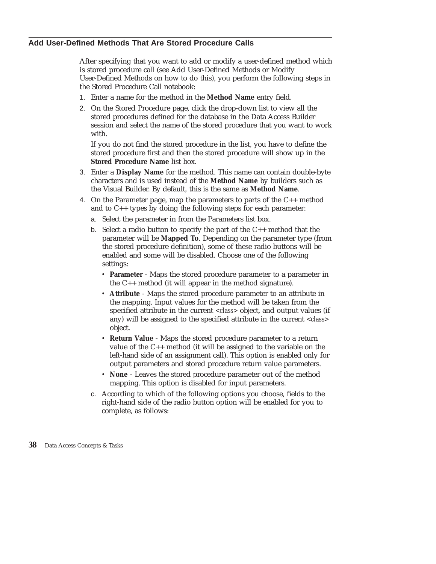# **Add User-Defined Methods That Are Stored Procedure Calls**

After specifying that you want to add or modify a user-defined method which is stored procedure call (see Add User-Defined Methods or Modify User-Defined Methods on how to do this), you perform the following steps in the Stored Procedure Call notebook:

- 1. Enter a name for the method in the **Method Name** entry field.
- 2. On the Stored Procedure page, click the drop-down list to view all the stored procedures defined for the database in the Data Access Builder session and select the name of the stored procedure that you want to work with.

If you do not find the stored procedure in the list, you have to define the stored procedure first and then the stored procedure will show up in the **Stored Procedure Name** list box.

- 3. Enter a **Display Name** for the method. This name can contain double-byte characters and is used instead of the **Method Name** by builders such as the Visual Builder. By default, this is the same as **Method Name**.
- 4. On the Parameter page, map the parameters to parts of the C++ method and to C++ types by doing the following steps for each parameter:
	- a. Select the parameter in from the Parameters list box.
	- b. Select a radio button to specify the part of the C++ method that the parameter will be **Mapped To**. Depending on the parameter type (from the stored procedure definition), some of these radio buttons will be enabled and some will be disabled. Choose one of the following settings:
		- v **Parameter** Maps the stored procedure parameter to a parameter in the C++ method (it will appear in the method signature).
		- v **Attribute** Maps the stored procedure parameter to an attribute in the mapping. Input values for the method will be taken from the specified attribute in the current *<class>* object, and output values (if any) will be assigned to the specified attribute in the current *<class>* object.
		- **Return Value** Maps the stored procedure parameter to a return value of the C++ method (it will be assigned to the variable on the left-hand side of an assignment call). This option is enabled only for output parameters and stored procedure return value parameters.
		- v **None** Leaves the stored procedure parameter out of the method mapping. This option is disabled for input parameters.
	- c. According to which of the following options you choose, fields to the right-hand side of the radio button option will be enabled for you to complete, as follows: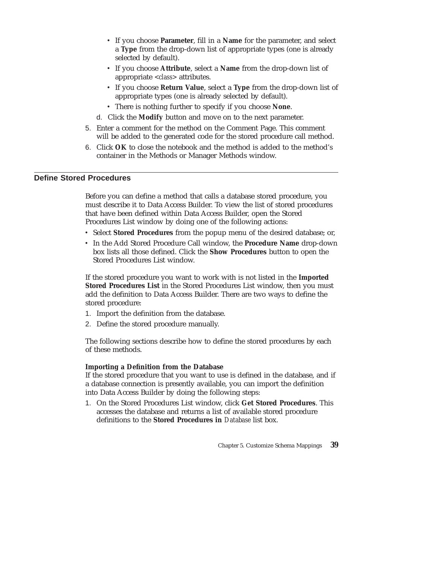- v If you choose **Parameter**, fill in a **Name** for the parameter, and select a **Type** from the drop-down list of appropriate types (one is already selected by default).
- v If you choose **Attribute**, select a **Name** from the drop-down list of appropriate *<class>* attributes.
- v If you choose **Return Value**, select a **Type** from the drop-down list of appropriate types (one is already selected by default).
- v There is nothing further to specify if you choose **None**.
- d. Click the **Modify** button and move on to the next parameter.
- 5. Enter a comment for the method on the Comment Page. This comment will be added to the generated code for the stored procedure call method.
- 6. Click **OK** to close the notebook and the method is added to the method's container in the Methods or Manager Methods window.

# **Define Stored Procedures**

Before you can define a method that calls a database stored procedure, you must describe it to Data Access Builder. To view the list of stored procedures that have been defined within Data Access Builder, open the Stored Procedures List window by doing one of the following actions:

- v Select **Stored Procedures** from the popup menu of the desired database; or,
- v In the Add Stored Procedure Call window, the **Procedure Name** drop-down box lists all those defined. Click the **Show Procedures** button to open the Stored Procedures List window.

If the stored procedure you want to work with is not listed in the **Imported Stored Procedures List** in the Stored Procedures List window, then you must add the definition to Data Access Builder. There are two ways to define the stored procedure:

- 1. Import the definition from the database.
- 2. Define the stored procedure manually.

The following sections describe how to define the stored procedures by each of these methods.

### **Importing a Definition from the Database**

If the stored procedure that you want to use is defined in the database, and if a database connection is presently available, you can import the definition into Data Access Builder by doing the following steps:

1. On the Stored Procedures List window, click **Get Stored Procedures**. This accesses the database and returns a list of available stored procedure definitions to the **Stored Procedures in** *Database* list box.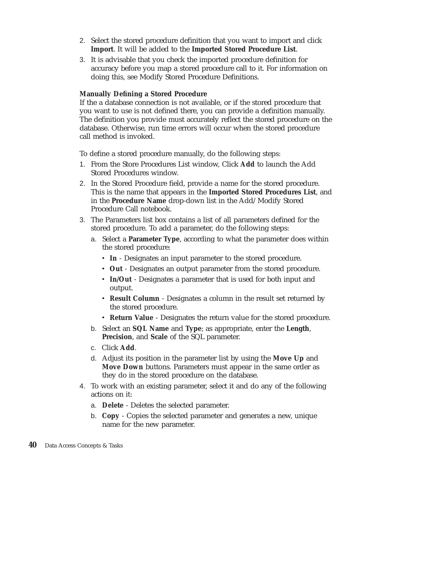- 2. Select the stored procedure definition that you want to import and click **Import**. It will be added to the **Imported Stored Procedure List**.
- 3. It is advisable that you check the imported procedure definition for accuracy before you map a stored procedure call to it. For information on doing this, see Modify Stored Procedure Definitions.

### **Manually Defining a Stored Procedure**

If the a database connection is not available, or if the stored procedure that you want to use is not defined there, you can provide a definition manually. The definition you provide must accurately reflect the stored procedure on the database. Otherwise, run time errors will occur when the stored procedure call method is invoked.

To define a stored procedure manually, do the following steps:

- 1. From the Store Procedures List window, Click **Add** to launch the Add Stored Procedures window.
- 2. In the Stored Procedure field, provide a name for the stored procedure. This is the name that appears in the **Imported Stored Procedures List**, and in the **Procedure Name** drop-down list in the Add/Modify Stored Procedure Call notebook.
- 3. The Parameters list box contains a list of all parameters defined for the stored procedure. To add a parameter, do the following steps:
	- a. Select a **Parameter Type**, according to what the parameter does within the stored procedure:
		- v **In** Designates an input parameter to the stored procedure.
		- v **Out** Designates an output parameter from the stored procedure.
		- v **In/Out** Designates a parameter that is used for both input and output.
		- v **Result Column** Designates a column in the result set returned by the stored procedure.
		- v **Return Value** Designates the return value for the stored procedure.
	- b. Select an **SQL Name** and **Type**; as appropriate, enter the **Length**, **Precision**, and **Scale** of the SQL parameter.
	- c. Click **Add**.
	- d. Adjust its position in the parameter list by using the **Move Up** and **Move Down** buttons. Parameters must appear in the same order as they do in the stored procedure on the database.
- 4. To work with an existing parameter, select it and do any of the following actions on it:
	- a. **Delete** Deletes the selected parameter.
	- b. **Copy** Copies the selected parameter and generates a new, unique name for the new parameter.
- **40** Data Access Concepts & Tasks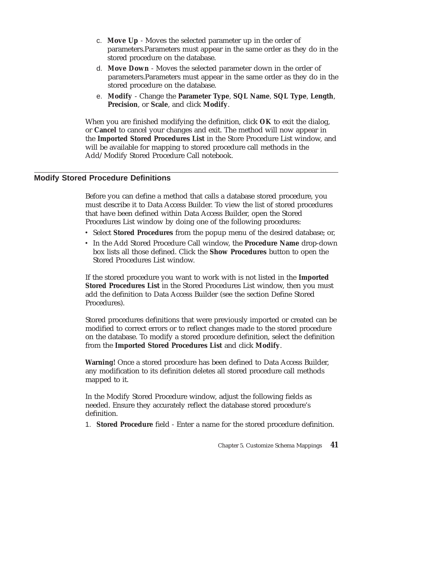- c. **Move Up** Moves the selected parameter up in the order of parameters.Parameters must appear in the same order as they do in the stored procedure on the database.
- d. **Move Down** Moves the selected parameter down in the order of parameters.Parameters must appear in the same order as they do in the stored procedure on the database.
- e. **Modify** Change the **Parameter Type**, **SQL Name**, **SQL Type**, **Length**, **Precision**, or **Scale**, and click **Modify**.

When you are finished modifying the definition, click **OK** to exit the dialog, or **Cancel** to cancel your changes and exit. The method will now appear in the **Imported Stored Procedures List** in the Store Procedure List window, and will be available for mapping to stored procedure call methods in the Add/Modify Stored Procedure Call notebook.

# **Modify Stored Procedure Definitions**

Before you can define a method that calls a database stored procedure, you must describe it to Data Access Builder. To view the list of stored procedures that have been defined within Data Access Builder, open the Stored Procedures List window by doing one of the following procedures:

- v Select **Stored Procedures** from the popup menu of the desired database; or,
- v In the Add Stored Procedure Call window, the **Procedure Name** drop-down box lists all those defined. Click the **Show Procedures** button to open the Stored Procedures List window.

If the stored procedure you want to work with is not listed in the **Imported Stored Procedures List** in the Stored Procedures List window, then you must add the definition to Data Access Builder (see the section Define Stored Procedures).

Stored procedures definitions that were previously imported or created can be modified to correct errors or to reflect changes made to the stored procedure on the database. To modify a stored procedure definition, select the definition from the **Imported Stored Procedures List** and click **Modify**.

**Warning!** Once a stored procedure has been defined to Data Access Builder, any modification to its definition deletes all stored procedure call methods mapped to it.

In the Modify Stored Procedure window, adjust the following fields as needed. Ensure they accurately reflect the database stored procedure's definition.

1. **Stored Procedure** field - Enter a name for the stored procedure definition.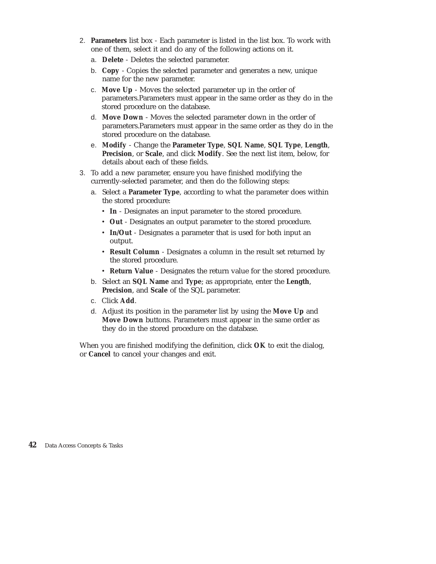- 2. **Parameters** list box Each parameter is listed in the list box. To work with one of them, select it and do any of the following actions on it.
	- a. **Delete** Deletes the selected parameter.
	- b. **Copy** Copies the selected parameter and generates a new, unique name for the new parameter.
	- c. **Move Up** Moves the selected parameter up in the order of parameters.Parameters must appear in the same order as they do in the stored procedure on the database.
	- d. **Move Down** Moves the selected parameter down in the order of parameters.Parameters must appear in the same order as they do in the stored procedure on the database.
	- e. **Modify** Change the **Parameter Type**, **SQL Name**, **SQL Type**, **Length**, **Precision**, or **Scale**, and click **Modify**. See the next list item, below, for details about each of these fields.
- 3. To add a new parameter, ensure you have finished modifying the currently-selected parameter, and then do the following steps:
	- a. Select a **Parameter Type**, according to what the parameter does within the stored procedure:
		- v **In** Designates an input parameter to the stored procedure.
		- v **Out** Designates an output parameter to the stored procedure.
		- v **In/Out** Designates a parameter that is used for both input an output.
		- v **Result Column** Designates a column in the result set returned by the stored procedure.
		- v **Return Value** Designates the return value for the stored procedure.
	- b. Select an **SQL Name** and **Type**; as appropriate, enter the **Length**, **Precision**, and **Scale** of the SQL parameter.
	- c. Click **Add**.
	- d. Adjust its position in the parameter list by using the **Move Up** and **Move Down** buttons. Parameters must appear in the same order as they do in the stored procedure on the database.

When you are finished modifying the definition, click **OK** to exit the dialog, or **Cancel** to cancel your changes and exit.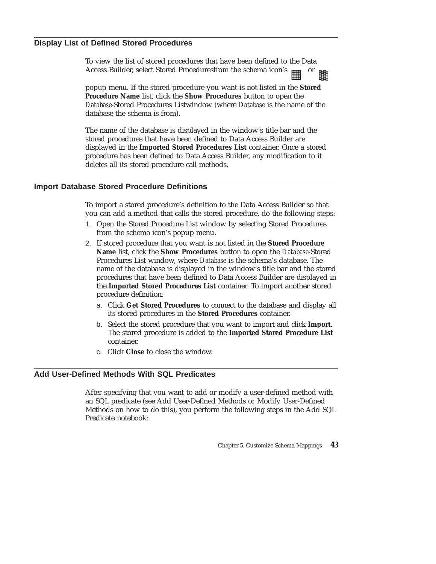# **Display List of Defined Stored Procedures**

To view the list of stored procedures that have been defined to the Data Access Builder, select Stored Proceduresfrom the schema icon's 鵾

popup menu. If the stored procedure you want is not listed in the **Stored Procedure Name** list, click the **Show Procedures** button to open the *Database*-Stored Procedures Listwindow (where *Database* is the name of the database the schema is from).

The name of the database is displayed in the window's title bar and the stored procedures that have been defined to Data Access Builder are displayed in the **Imported Stored Procedures List** container. Once a stored procedure has been defined to Data Access Builder, any modification to it deletes all its stored procedure call methods.

### **Import Database Stored Procedure Definitions**

To import a stored procedure's definition to the Data Access Builder so that you can add a method that calls the stored procedure, do the following steps:

- 1. Open the Stored Procedure List window by selecting Stored Procedures from the schema icon's popup menu.
- 2. If stored procedure that you want is not listed in the **Stored Procedure Name** list, click the **Show Procedures** button to open the *Database*-Stored Procedures List window, where *Database* is the schema's database. The name of the database is displayed in the window's title bar and the stored procedures that have been defined to Data Access Builder are displayed in the **Imported Stored Procedures List** container. To import another stored procedure definition:
	- a. Click **Get Stored Procedures** to connect to the database and display all its stored procedures in the **Stored Procedures** container.
	- b. Select the stored procedure that you want to import and click **Import**. The stored procedure is added to the **Imported Stored Procedure List** container.
	- c. Click **Close** to close the window.

### **Add User-Defined Methods With SQL Predicates**

After specifying that you want to add or modify a user-defined method with an SQL predicate (see Add User-Defined Methods or Modify User-Defined Methods on how to do this), you perform the following steps in the Add SQL Predicate notebook: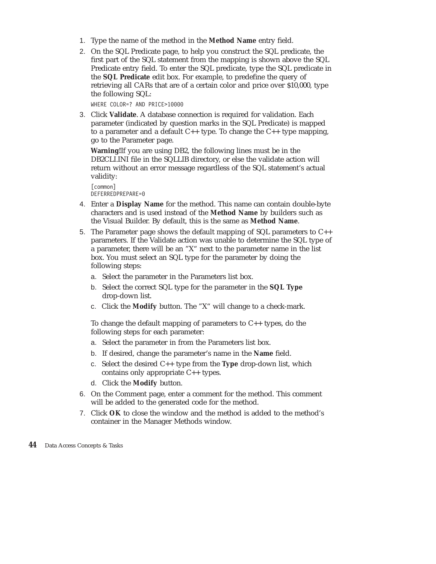- 1. Type the name of the method in the **Method Name** entry field.
- 2. On the SQL Predicate page, to help you construct the SQL predicate, the first part of the SQL statement from the mapping is shown above the SQL Predicate entry field. To enter the SQL predicate, type the SQL predicate in the **SQL Predicate** edit box. For example, to predefine the query of retrieving all CARs that are of a certain color and price over \$10,000, type the following SQL:

WHERE COLOR=? AND PRICE>10000

3. Click **Validate**. A database connection is required for validation. Each parameter (indicated by question marks in the SQL Predicate) is mapped to a parameter and a default  $C_{++}$  type. To change the  $C_{++}$  type mapping, go to the Parameter page.

**Warning!**If you are using DB2, the following lines must be in the DB2CLI.INI file in the SQLLIB directory, or else the validate action will return without an error message regardless of the SQL statement's actual validity:

[common] DEFERREDPREPARE=0

- 4. Enter a **Display Name** for the method. This name can contain double-byte characters and is used instead of the **Method Name** by builders such as the Visual Builder. By default, this is the same as **Method Name**.
- 5. The Parameter page shows the default mapping of SQL parameters to C++ parameters. If the Validate action was unable to determine the SQL type of a parameter, there will be an "X" next to the parameter name in the list box. You must select an SQL type for the parameter by doing the following steps:
	- a. Select the parameter in the Parameters list box.
	- b. Select the correct SQL type for the parameter in the **SQL Type** drop-down list.
	- c. Click the **Modify** button. The "X" will change to a check-mark.

To change the default mapping of parameters to  $C_{++}$  types, do the following steps for each parameter:

- a. Select the parameter in from the Parameters list box.
- b. If desired, change the parameter's name in the **Name** field.
- c. Select the desired C++ type from the **Type** drop-down list, which contains only appropriate C++ types.
- d. Click the **Modify** button.
- 6. On the Comment page, enter a comment for the method. This comment will be added to the generated code for the method.
- 7. Click **OK** to close the window and the method is added to the method's container in the Manager Methods window.
- **44** Data Access Concepts & Tasks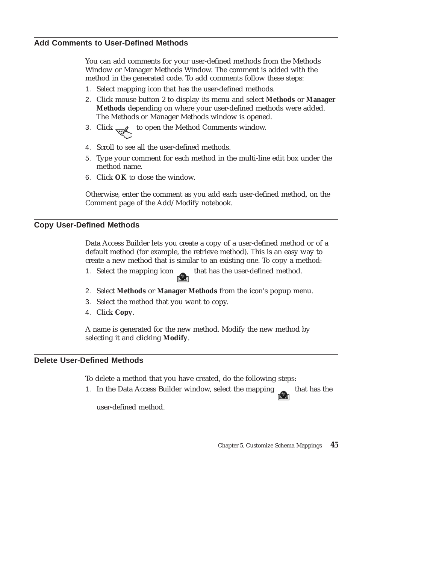You can add comments for your user-defined methods from the Methods Window or Manager Methods Window. The comment is added with the method in the generated code. To add comments follow these steps:

- 1. Select mapping icon that has the user-defined methods.
- 2. Click mouse button 2 to display its menu and select **Methods** or **Manager Methods** depending on where your user-defined methods were added. The Methods or Manager Methods window is opened.
- 3. Click  $\frac{1}{\sqrt{m}}$  to open the Method Comments window.
- 4. Scroll to see all the user-defined methods.
- 5. Type your comment for each method in the multi-line edit box under the method name.
- 6. Click **OK** to close the window.

Otherwise, enter the comment as you add each user-defined method, on the Comment page of the Add/Modify notebook.

# **Copy User-Defined Methods**

Data Access Builder lets you create a copy of a user-defined method or of a default method (for example, the retrieve method). This is an easy way to create a new method that is similar to an existing one. To copy a method:

- 1. Select the mapping icon that has the user-defined method.
- 2. Select **Methods** or **Manager Methods** from the icon's popup menu.
- 3. Select the method that you want to copy.
- 4. Click **Copy**.

A name is generated for the new method. Modify the new method by selecting it and clicking **Modify**.

# **Delete User-Defined Methods**

To delete a method that you have created, do the following steps:

1. In the Data Access Builder window, select the mapping that has the

user-defined method.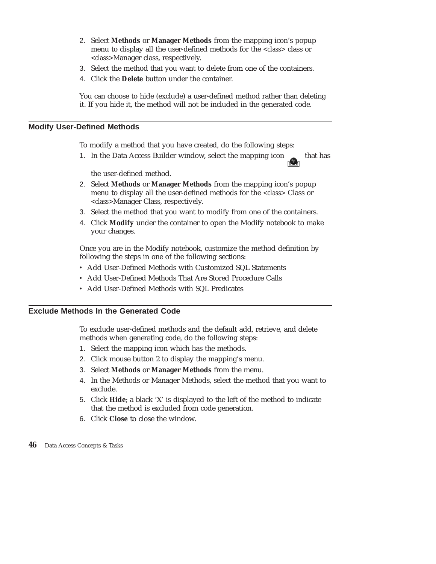- 2. Select **Methods** or **Manager Methods** from the mapping icon's popup menu to display all the user-defined methods for the *<class>* class or *<class>*Manager class, respectively.
- 3. Select the method that you want to delete from one of the containers.
- 4. Click the **Delete** button under the container.

You can choose to hide (exclude) a user-defined method rather than deleting it. If you hide it, the method will not be included in the generated code.

### **Modify User-Defined Methods**

To modify a method that you have created, do the following steps:

1. In the Data Access Builder window, select the mapping icon that has

the user-defined method.

- 2. Select **Methods** or **Manager Methods** from the mapping icon's popup menu to display all the user-defined methods for the *<class>* Class or *<class>*Manager Class, respectively.
- 3. Select the method that you want to modify from one of the containers.
- 4. Click **Modify** under the container to open the Modify notebook to make your changes.

Once you are in the Modify notebook, customize the method definition by following the steps in one of the following sections:

- Add User-Defined Methods with Customized SQL Statements
- Add User-Defined Methods That Are Stored Procedure Calls
- Add User-Defined Methods with SQL Predicates

# **Exclude Methods In the Generated Code**

To exclude user-defined methods and the default add, retrieve, and delete methods when generating code, do the following steps:

- 1. Select the mapping icon which has the methods.
- 2. Click mouse button 2 to display the mapping's menu.
- 3. Select **Methods** or **Manager Methods** from the menu.
- 4. In the Methods or Manager Methods, select the method that you want to exclude.
- 5. Click **Hide**; a black 'X' is displayed to the left of the method to indicate that the method is excluded from code generation.
- 6. Click **Close** to close the window.
- **46** Data Access Concepts & Tasks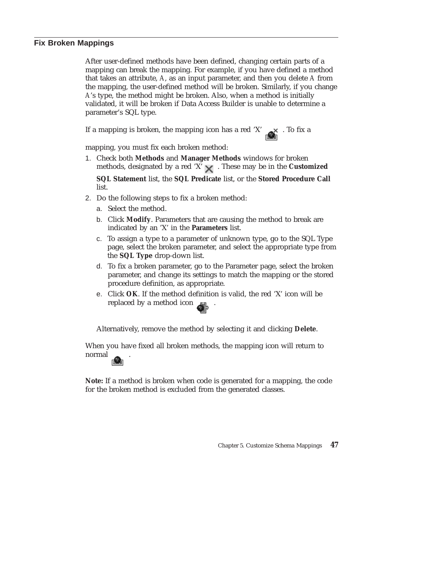### **Fix Broken Mappings**

After user-defined methods have been defined, changing certain parts of a mapping can break the mapping. For example, if you have defined a method that takes an attribute, *A*, as an input parameter, and then you delete *A* from the mapping, the user-defined method will be broken. Similarly, if you change *A*'s type, the method might be broken. Also, when a method is initially validated, it will be broken if Data Access Builder is unable to determine a parameter's SQL type.

If a mapping is broken, the mapping icon has a red 'X'  $\quad \times$  . To fix a

mapping, you must fix each broken method:

1. Check both **Methods** and **Manager Methods** windows for broken methods, designated by a red 'X'  $\times$  . These may be in the **Customized** 

**SQL Statement** list, the **SQL Predicate** list, or the **Stored Procedure Call** list.

- 2. Do the following steps to fix a broken method:
	- a. Select the method.
	- b. Click **Modify**. Parameters that are causing the method to break are indicated by an 'X' in the **Parameters** list.
	- c. To assign a type to a parameter of unknown type, go to the SQL Type page, select the broken parameter, and select the appropriate type from the **SQL Type** drop-down list.
	- d. To fix a broken parameter, go to the Parameter page, select the broken parameter, and change its settings to match the mapping or the stored procedure definition, as appropriate.
	- e. Click **OK**. If the method definition is valid, the red 'X' icon will be replaced by a method icon .

Alternatively, remove the method by selecting it and clicking **Delete**.

When you have fixed all broken methods, the mapping icon will return to normal **normal** 

**Note:** If a method is broken when code is generated for a mapping, the code for the broken method is excluded from the generated classes.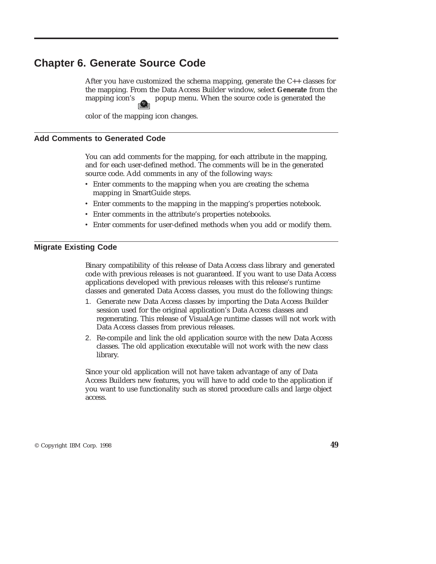# **Chapter 6. Generate Source Code**

After you have customized the schema mapping, generate the C++ classes for the mapping. From the Data Access Builder window, select **Generate** from the mapping icon's popup menu. When the source code is generated the

color of the mapping icon changes.

### **Add Comments to Generated Code**

You can add comments for the mapping, for each attribute in the mapping, and for each user-defined method. The comments will be in the generated source code. Add comments in any of the following ways:

- v Enter comments to the mapping when you are creating the schema mapping in SmartGuide steps.
- v Enter comments to the mapping in the mapping's properties notebook.
- v Enter comments in the attribute's properties notebooks.
- v Enter comments for user-defined methods when you add or modify them.

### **Migrate Existing Code**

Binary compatibility of this release of Data Access class library and generated code with previous releases is not guaranteed. If you want to use Data Access applications developed with previous releases with this release's runtime classes and generated Data Access classes, you must do the following things:

- 1. Generate new Data Access classes by importing the Data Access Builder session used for the original application's Data Access classes and regenerating. This release of VisualAge runtime classes will not work with Data Access classes from previous releases.
- 2. Re-compile and link the old application source with the new Data Access classes. The old application executable will not work with the new class library.

Since your old application will not have taken advantage of any of Data Access Builders new features, you will have to add code to the application if you want to use functionality such as stored procedure calls and large object access.

© Copyright IBM Corp. 1998 **49**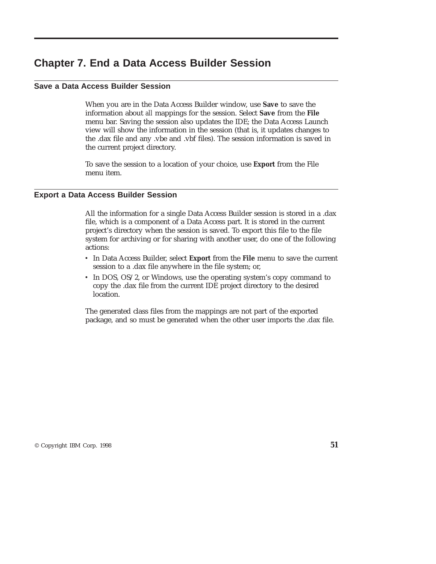# **Chapter 7. End a Data Access Builder Session**

# **Save a Data Access Builder Session**

When you are in the Data Access Builder window, use **Save** to save the information about *all* mappings for the session. Select **Save** from the **File** menu bar. Saving the session also updates the IDE; the Data Access Launch view will show the information in the session (that is, it updates changes to the .dax file and any .vbe and .vbf files). The session information is saved in the current project directory.

To save the session to a location of your choice, use **Export** from the File menu item.

### **Export a Data Access Builder Session**

All the information for a single Data Access Builder session is stored in a .dax file, which is a component of a Data Access part. It is stored in the current project's directory when the session is saved. To export this file to the file system for archiving or for sharing with another user, do one of the following actions:

- v In Data Access Builder, select **Export** from the **File** menu to save the current session to a .dax file anywhere in the file system; or,
- In DOS, OS/2, or Windows, use the operating system's copy command to copy the .dax file from the current IDE project directory to the desired location.

The generated class files from the mappings are not part of the exported package, and so must be generated when the other user imports the .dax file.

© Copyright IBM Corp. 1998 **51**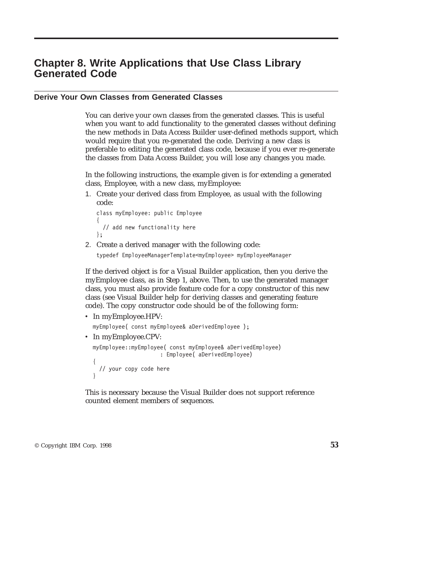# **Chapter 8. Write Applications that Use Class Library Generated Code**

# **Derive Your Own Classes from Generated Classes**

You can derive your own classes from the generated classes. This is useful when you want to add functionality to the generated classes without defining the new methods in Data Access Builder user-defined methods support, which would require that you re-generated the code. Deriving a new class is preferable to editing the generated class code, because if you ever re-generate the classes from Data Access Builder, you will lose any changes you made.

In the following instructions, the example given is for extending a generated class, Employee, with a new class, myEmployee:

1. Create your derived class from Employee, as usual with the following code:

```
class myEmployee: public Employee
{
  // add new functionality here
};
```
2. Create a derived manager with the following code: typedef EmployeeManagerTemplate<myEmployee> myEmployeeManager

If the derived object is for a Visual Builder application, then you derive the myEmployee class, as in Step 1, above. Then, to use the generated manager class, you must also provide feature code for a copy constructor of this new class (see Visual Builder help for deriving classes and generating feature code). The copy constructor code should be of the following form:

• In myEmployee.HPV: myEmployee( const myEmployee& aDerivedEmployee ); • In myEmployee.CPV: myEmployee::myEmployee( const myEmployee& aDerivedEmployee) : Employee( aDerivedEmployee) { // your copy code here

This is necessary because the Visual Builder does not support reference counted element members of sequences.

© Copyright IBM Corp. 1998 **53**

}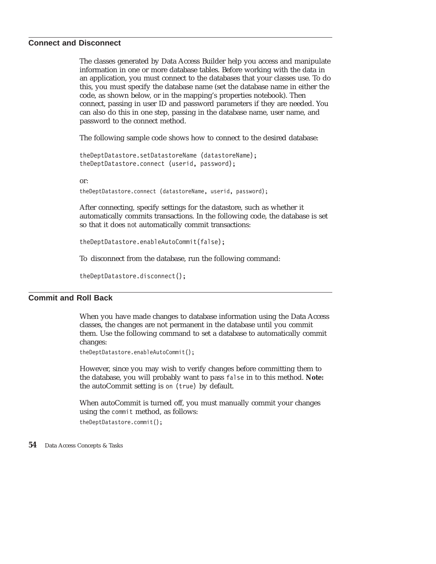### **Connect and Disconnect**

The classes generated by Data Access Builder help you access and manipulate information in one or more database tables. Before working with the data in an application, you must connect to the databases that your classes use. To do this, you must specify the database name (set the database name in either the code, as shown below, or in the mapping's properties notebook). Then connect, passing in user ID and password parameters if they are needed. You can also do this in one step, passing in the database name, user name, and password to the connect method.

The following sample code shows how to connect to the desired database:

theDeptDatastore.setDatastoreName (datastoreName); theDeptDatastore.connect (userid, password);

or:

theDeptDatastore.connect (datastoreName, userid, password);

After connecting, specify settings for the datastore, such as whether it automatically commits transactions. In the following code, the database is set so that it does *not* automatically commit transactions:

```
theDeptDatastore.enableAutoCommit(false);
```
To disconnect from the database, run the following command:

```
theDeptDatastore.disconnect();
```
# **Commit and Roll Back**

When you have made changes to database information using the Data Access classes, the changes are not permanent in the database until you commit them. Use the following command to set a database to automatically commit changes:

```
theDeptDatastore.enableAutoCommit();
```
However, since you may wish to verify changes before committing them to the database, you will probably want to pass false in to this method. **Note:** the autoCommit setting is on (true) by default.

When autoCommit is turned off, you must manually commit your changes using the commit method, as follows:

theDeptDatastore.commit();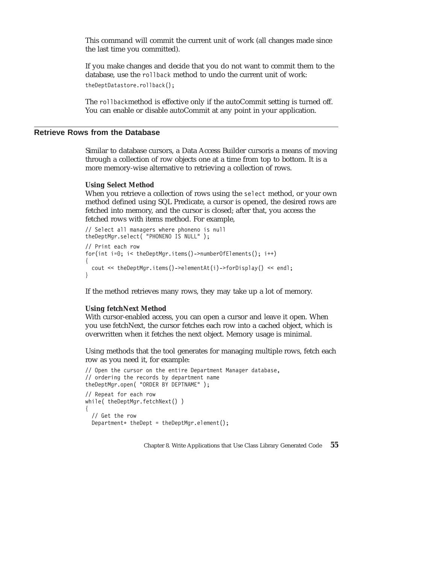This command will commit the current unit of work (all changes made since the last time you committed).

If you make changes and decide that you do not want to commit them to the database, use the rollback method to undo the current unit of work: theDeptDatastore.rollback();

The rollbackmethod is effective only if the autoCommit setting is turned off. You can enable or disable autoCommit at any point in your application.

# **Retrieve Rows from the Database**

Similar to database cursors, a Data Access Builder cursoris a means of moving through a collection of row objects one at a time from top to bottom. It is a more memory-wise alternative to retrieving a collection of rows.

#### **Using Select Method**

When you retrieve a collection of rows using the select method, or your own method defined using SQL Predicate, a cursor is opened, the desired rows are fetched into memory, and the cursor is closed; after that, you access the fetched rows with items method. For example,

```
// Select all managers where phoneno is null
theDeptMgr.select( "PHONENO IS NULL" );
// Print each row
for(int i=0; i< theDeptMgr.items()->numberOfElements(); i++)
{
  cout << theDeptMgr.items()->elementAt(i)->forDisplay() << endl;
}
```
If the method retrieves many rows, they may take up a lot of memory.

#### **Using fetchNext Method**

With cursor-enabled access, you can open a cursor and leave it open. When you use fetchNext, the cursor fetches each row into a cached object, which is overwritten when it fetches the next object. Memory usage is minimal.

Using methods that the tool generates for managing multiple rows, fetch each row as you need it, for example:

```
// Open the cursor on the entire Department Manager database,
// ordering the records by department name
theDeptMgr.open( "ORDER BY DEPTNAME" );
// Repeat for each row
while( theDeptMgr.fetchNext() )
{
  // Get the row
  Department* theDept = theDeptMgr.element();
```
Chapter 8. Write Applications that Use Class Library Generated Code **55**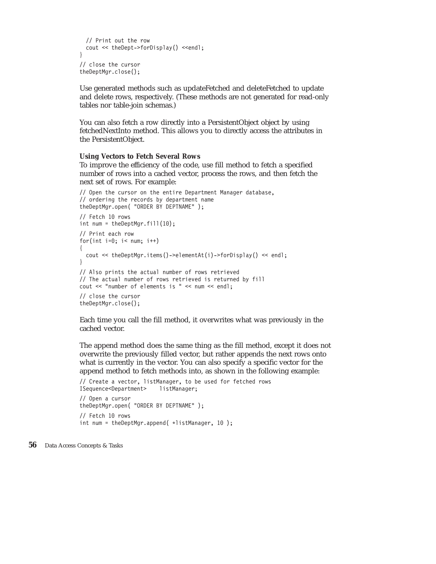```
// Print out the row
  cout << theDept->forDisplay() << endl;
}
// close the cursor
theDeptMgr.close();
```
Use generated methods such as updateFetched and deleteFetched to update and delete rows, respectively. (These methods are not generated for read-only tables nor table-join schemas.)

You can also fetch a row directly into a PersistentObject object by using fetchedNextInto method. This allows you to directly access the attributes in the PersistentObject.

#### **Using Vectors to Fetch Several Rows**

To improve the efficiency of the code, use fill method to fetch a specified number of rows into a cached vector, process the rows, and then fetch the next set of rows. For example:

```
// Open the cursor on the entire Department Manager database,
// ordering the records by department name
theDeptMgr.open( "ORDER BY DEPTNAME" );
// Fetch 10 rows
int num = theDeptMgr.fill(10);
// Print each row
for(int i=0; i< num; i++)
{
  cout << theDeptMgr.items()->elementAt(i)->forDisplay() << endl;
}
// Also prints the actual number of rows retrieved
// The actual number of rows retrieved is returned by fill
cout << "number of elements is " << num << endl;
// close the cursor
theDeptMgr.close();
```
Each time you call the fill method, it overwrites what was previously in the cached vector.

The append method does the same thing as the fill method, except it does not overwrite the previously filled vector, but rather appends the next rows onto what is currently in the vector. You can also specify a specific vector for the append method to fetch methods into, as shown in the following example:

```
// Create a vector, listManager, to be used for fetched rows
ISequence<Department> listManager;
// Open a cursor
theDeptMgr.open( "ORDER BY DEPTNAME" );
// Fetch 10 rows
int num = theDeptMgr.append( *listManager, 10 );
```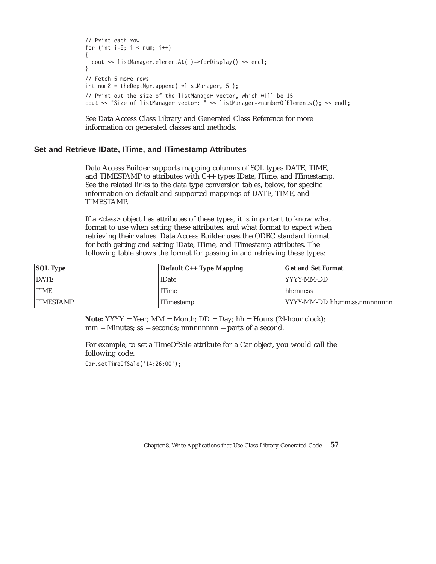```
// Print each row
for (int i=0; i < num; i++){
 cout << listManager.elementAt(i)->forDisplay() << endl;
}
// Fetch 5 more rows
int num2 = theDeptMgr.append( *listManager, 5 );
// Print out the size of the listManager vector, which will be 15
cout << "Size of listManager vector: " << listManager->numberOfElements(); << endl;
```
See Data Access Class Library and Generated Class Reference for more information on generated classes and methods.

# **Set and Retrieve IDate, ITime, and ITimestamp Attributes**

Data Access Builder supports mapping columns of SQL types DATE, TIME, and TIMESTAMP to attributes with C++ types IDate, ITime, and ITimestamp. See the related links to the data type conversion tables, below, for specific information on default and supported mappings of DATE, TIME, and TIMESTAMP.

If a *<class>* object has attributes of these types, it is important to know what format to use when setting these attributes, and what format to expect when retrieving their values. Data Access Builder uses the ODBC standard format for both getting and setting IDate, ITime, and ITimestamp attributes. The following table shows the format for passing in and retrieving these types:

| <b>SQL Type</b>  | Default C++ Type Mapping | <b>Get and Set Format</b>     |
|------------------|--------------------------|-------------------------------|
| <b>DATE</b>      | <b>IDate</b>             | YYYY-MM-DD                    |
| <b>TIME</b>      | <b>ITime</b>             | hh:mm:ss                      |
| <b>TIMESTAMP</b> | <b>ITimestamp</b>        | YYYY-MM-DD hh:mm:ss.nnnnnnnnn |

**Note:**  $YYYY = Year$ ;  $MM = Month$ ;  $DD = Day$ ;  $hh = Hours$  (24-hour clock);  $mm =$  Minutes;  $ss =$  seconds; nnnnnnnnn = parts of a second.

For example, to set a TimeOfSale attribute for a Car object, you would call the following code:

Car.setTimeOfSale('14:26:00');

Chapter 8. Write Applications that Use Class Library Generated Code **57**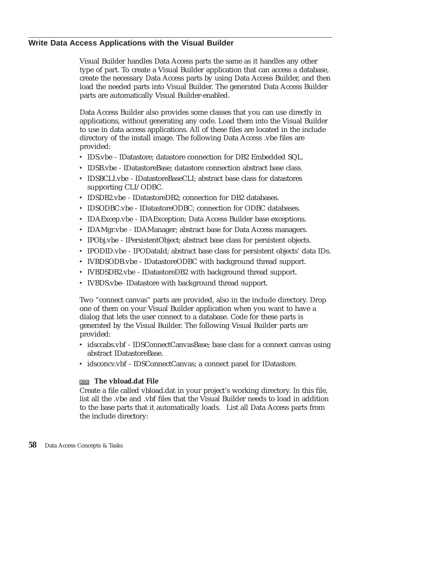# **Write Data Access Applications with the Visual Builder**

Visual Builder handles Data Access parts the same as it handles any other type of part. To create a Visual Builder application that can access a database, create the necessary Data Access parts by using Data Access Builder, and then load the needed parts into Visual Builder. The generated Data Access Builder parts are automatically Visual Builder-enabled.

Data Access Builder also provides some classes that you can use directly in applications, without generating any code. Load them into the Visual Builder to use in data access applications. All of these files are located in the include directory of the install image. The following Data Access .vbe files are provided:

- v IDS.vbe IDatastore; datastore connection for DB2 Embedded SQL.
- v IDSB.vbe IDatastoreBase; datastore connection abstract base class.
- v IDSBCLI.vbe IDatastoreBaseCLI; abstract base class for datastores supporting CLI/ODBC.
- v IDSDB2.vbe IDatastoreDB2; connection for DB2 databases.
- v IDSODBC.vbe IDatastoreODBC; connection for ODBC databases.
- v IDAExcep.vbe IDAException; Data Access Builder base exceptions.
- IDAMgr.vbe IDAManager; abstract base for Data Access managers.
- IPObj.vbe IPersistentObject; abstract base class for persistent objects.
- v IPODID.vbe IPODataId; abstract base class for persistent objects' data IDs.
- IVBDSODB.vbe IDatastoreODBC with background thread support.
- IVBDSDB2.vbe IDatastoreDB2 with background thread support.
- IVBDS.vbe- IDatastore with background thread support.

Two "connect canvas" parts are provided, also in the include directory. Drop one of them on your Visual Builder application when you want to have a dialog that lets the user connect to a database. Code for these parts is generated by the Visual Builder. The following Visual Builder parts are provided:

- v idsccabs.vbf IDSConnectCanvasBase; base class for a connect canvas using abstract IDatastoreBase.
- idsconcv.vbf IDSConnectCanvas; a connect panel for IDatastore.

### **The vbload.dat File**

Create a file called vbload.dat in your project's working directory. In this file, list all the .vbe and .vbf files that the Visual Builder needs to load in addition to the base parts that it automatically loads. List all Data Access parts from the include directory: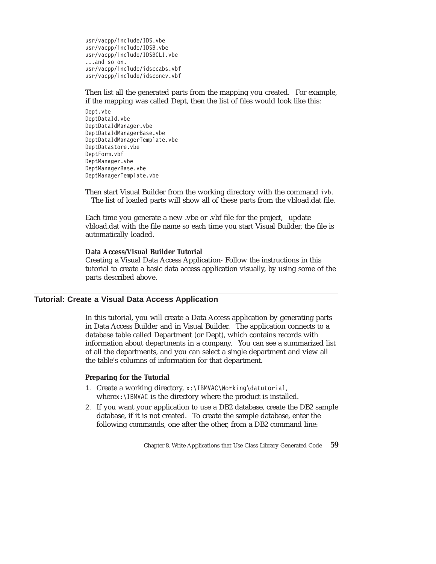usr/vacpp/include/IDS.vbe usr/vacpp/include/IDSB.vbe usr/vacpp/include/IDSBCLI.vbe ...and so on. usr/vacpp/include/idsccabs.vbf usr/vacpp/include/idsconcv.vbf

Then list all the generated parts from the mapping you created. For example, if the mapping was called Dept, then the list of files would look like this:

Dept.vbe DeptDataId.vbe DeptDataIdManager.vbe DeptDataIdManagerBase.vbe DeptDataIdManagerTemplate.vbe DeptDatastore.vbe DeptForm.vbf DeptManager.vbe DeptManagerBase.vbe DeptManagerTemplate.vbe

Then start Visual Builder from the working directory with the command ivb. The list of loaded parts will show all of these parts from the vbload.dat file.

Each time you generate a new .vbe or .vbf file for the project, update vbload.dat with the file name so each time you start Visual Builder, the file is automatically loaded.

### **Data Access/Visual Builder Tutorial**

Creating a Visual Data Access Application- Follow the instructions in this tutorial to create a basic data access application visually, by using some of the parts described above.

# **Tutorial: Create a Visual Data Access Application**

In this tutorial, you will create a Data Access application by generating parts in Data Access Builder and in Visual Builder. The application connects to a database table called Department (or Dept), which contains records with information about departments in a company. You can see a summarized list of all the departments, and you can select a single department and view all the table's columns of information for that department.

### **Preparing for the Tutorial**

- 1. Create a working directory, x:\IBMVAC\Working\datutorial, wherex:\IBMVAC is the directory where the product is installed.
- 2. If you want your application to use a DB2 database, create the DB2 sample database, if it is not created. To create the sample database, enter the following commands, one after the other, from a DB2 command line:

Chapter 8. Write Applications that Use Class Library Generated Code **59**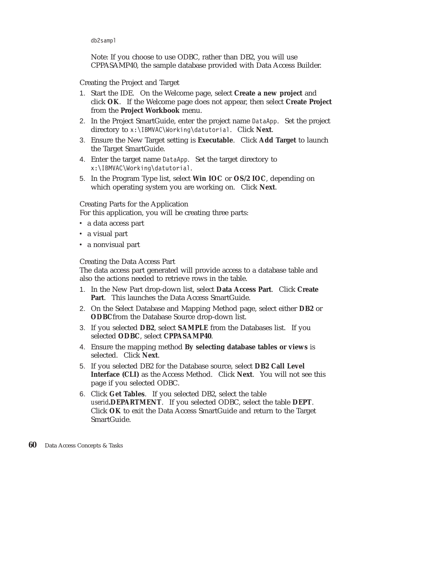db2sampl

Note: If you choose to use ODBC, rather than DB2, you will use CPPASAMP40, the sample database provided with Data Access Builder.

### Creating the Project and Target

- 1. Start the IDE. On the Welcome page, select **Create a new project** and click **OK**. If the Welcome page does not appear, then select **Create Project** from the **Project Workbook** menu.
- 2. In the Project SmartGuide, enter the project name DataApp. Set the project directory to x:\IBMVAC\Working\datutorial. Click **Next**.
- 3. Ensure the New Target setting is **Executable**. Click **Add Target** to launch the Target SmartGuide.
- 4. Enter the target name DataApp. Set the target directory to x:\IBMVAC\Working\datutorial.
- 5. In the Program Type list, select **Win IOC** or **OS/2 IOC**, depending on which operating system you are working on. Click **Next**.

### Creating Parts for the Application

For this application, you will be creating three parts:

- a data access part
- a visual part
- a nonvisual part

### Creating the Data Access Part

The data access part generated will provide access to a database table and also the actions needed to retrieve rows in the table.

- 1. In the New Part drop-down list, select **Data Access Part**. Click **Create Part**. This launches the Data Access SmartGuide.
- 2. On the Select Database and Mapping Method page, select either **DB2** or **ODBC**from the Database Source drop-down list.
- 3. If you selected **DB2**, select **SAMPLE** from the Databases list. If you selected **ODBC**, select **CPPASAMP40**.
- 4. Ensure the mapping method **By selecting database tables or views** is selected. Click **Next**.
- 5. If you selected DB2 for the Database source, select **DB2 Call Level Interface (CLI)** as the Access Method. Click **Next**. You will not see this page if you selected ODBC.
- 6. Click **Get Tables**. If you selected DB2, select the table *userid***.DEPARTMENT**. If you selected ODBC, select the table **DEPT**. Click **OK** to exit the Data Access SmartGuide and return to the Target SmartGuide.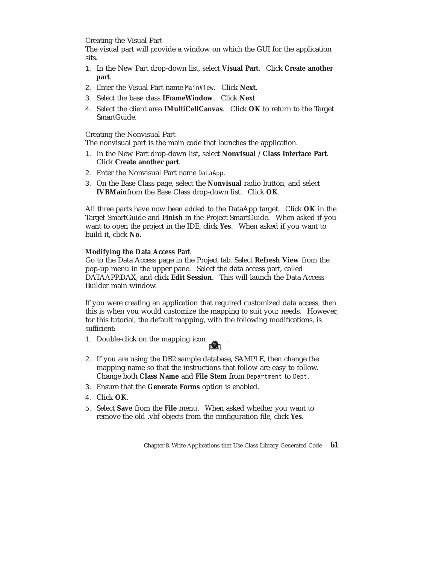Creating the Visual Part

The visual part will provide a window on which the GUI for the application sits.

- 1. In the New Part drop-down list, select **Visual Part**. Click **Create another part**.
- 2. Enter the Visual Part name MainView. Click **Next**.
- 3. Select the base class **IFrameWindow**. Click **Next**.
- 4. Select the client area **IMultiCellCanvas**. Click **OK** to return to the Target SmartGuide.

Creating the Nonvisual Part

The nonvisual part is the main code that launches the application.

- 1. In the New Part drop-down list, select **Nonvisual / Class Interface Part**. Click **Create another part**.
- 2. Enter the Nonvisual Part name DataApp.
- 3. On the Base Class page, select the **Nonvisual** radio button, and select **IVBMain**from the Base Class drop-down list. Click **OK**.

All three parts have now been added to the DataApp target. Click **OK** in the Target SmartGuide and **Finish** in the Project SmartGuide. When asked if you want to open the project in the IDE, click **Yes**. When asked if you want to build it, click **No**.

### **Modifying the Data Access Part**

Go to the Data Access page in the Project tab. Select **Refresh View** from the pop-up menu in the upper pane. Select the data access part, called DATAAPP.DAX, and click **Edit Session**. This will launch the Data Access Builder main window.

If you were creating an application that required customized data access, then this is when you would customize the mapping to suit your needs. However, for this tutorial, the default mapping, with the following modifications, is sufficient:

- 1. Double-click on the mapping icon
- 2. If you are using the DB2 sample database, SAMPLE, then change the mapping name so that the instructions that follow are easy to follow. Change both **Class Name** and **File Stem** from Department to Dept.
- 3. Ensure that the **Generate Forms** option is enabled.
- 4. Click **OK**.
- 5. Select **Save** from the **File** menu. When asked whether you want to remove the old .vbf objects from the configuration file, click **Yes**.

Chapter 8. Write Applications that Use Class Library Generated Code **61**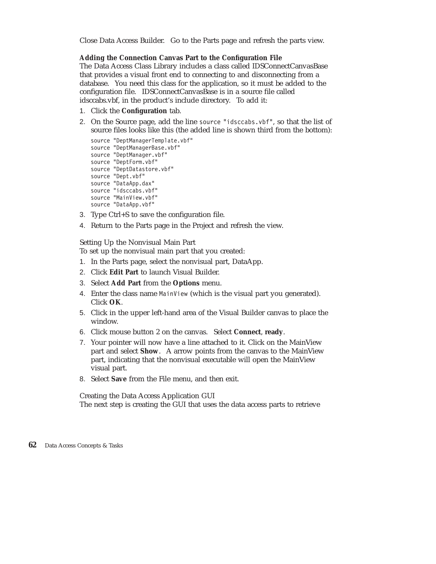Close Data Access Builder. Go to the Parts page and refresh the parts view.

### **Adding the Connection Canvas Part to the Configuration File**

The Data Access Class Library includes a class called IDSConnectCanvasBase that provides a visual front end to connecting to and disconnecting from a database. You need this class for the application, so it must be added to the configuration file. IDSConnectCanvasBase is in a source file called idsccabs.vbf, in the product's include directory. To add it:

- 1. Click the **Configuration** tab.
- 2. On the Source page, add the line source "idsccabs.vbf", so that the list of source files looks like this (the added line is shown third from the bottom):

```
source "DeptManagerTemplate.vbf"
source "DeptManagerBase.vbf"
source "DeptManager.vbf"
source "DeptForm.vbf"
source "DeptDatastore.vbf"
source "Dept.vbf"
source "DataApp.dax"
source "idsccabs.vbf"
source "MainView.vbf"
source "DataApp.vbf"
```
- 3. Type Ctrl+S to save the configuration file.
- 4. Return to the Parts page in the Project and refresh the view.

Setting Up the Nonvisual Main Part

To set up the nonvisual main part that you created:

- 1. In the Parts page, select the nonvisual part, DataApp.
- 2. Click **Edit Part** to launch Visual Builder.
- 3. Select **Add Part** from the **Options** menu.
- 4. Enter the class name MainView (which is the visual part you generated). Click **OK**.
- 5. Click in the upper left-hand area of the Visual Builder canvas to place the window.
- 6. Click mouse button 2 on the canvas. Select **Connect**, **ready**.
- 7. Your pointer will now have a line attached to it. Click on the MainView part and select **Show**. A arrow points from the canvas to the MainView part, indicating that the nonvisual executable will open the MainView visual part.
- 8. Select **Save** from the File menu, and then exit.

Creating the Data Access Application GUI The next step is creating the GUI that uses the data access parts to retrieve

**<sup>62</sup>** Data Access Concepts & Tasks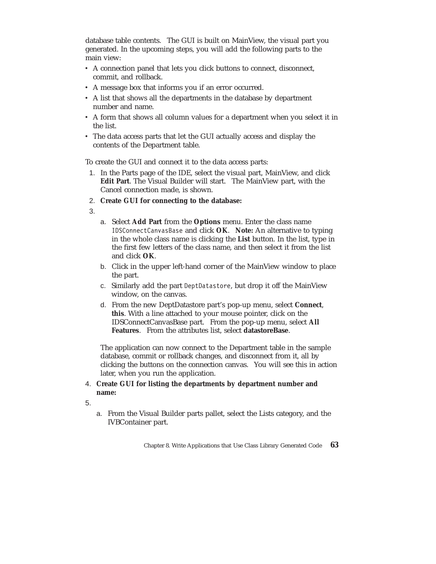database table contents. The GUI is built on MainView, the visual part you generated. In the upcoming steps, you will add the following parts to the main view:

- v A connection panel that lets you click buttons to connect, disconnect, commit, and rollback.
- v A message box that informs you if an error occurred.
- v A list that shows all the departments in the database by department number and name.
- v A form that shows all column values for a department when you select it in the list.
- v The data access parts that let the GUI actually access and display the contents of the Department table.

To create the GUI and connect it to the data access parts:

- 1. In the Parts page of the IDE, select the visual part, MainView, and click **Edit Part**. The Visual Builder will start. The MainView part, with the Cancel connection made, is shown.
- 2. **Create GUI for connecting to the database:**
- 3.
- a. Select **Add Part** from the **Options** menu. Enter the class name IDSConnectCanvasBase and click **OK**. **Note:** An alternative to typing in the whole class name is clicking the **List** button. In the list, type in the first few letters of the class name, and then select it from the list and click **OK**.
- b. Click in the upper left-hand corner of the MainView window to place the part.
- c. Similarly add the part DeptDatastore, but drop it off the MainView window, on the canvas.
- d. From the new DeptDatastore part's pop-up menu, select **Connect**, **this**. With a line attached to your mouse pointer, click on the IDSConnectCanvasBase part. From the pop-up menu, select **All Features**. From the attributes list, select **datastoreBase**.

The application can now connect to the Department table in the sample database, commit or rollback changes, and disconnect from it, all by clicking the buttons on the connection canvas. You will see this in action later, when you run the application.

# 4. **Create GUI for listing the departments by department number and name:**

- 5.
- a. From the Visual Builder parts pallet, select the Lists category, and the IVBContainer part.

Chapter 8. Write Applications that Use Class Library Generated Code **63**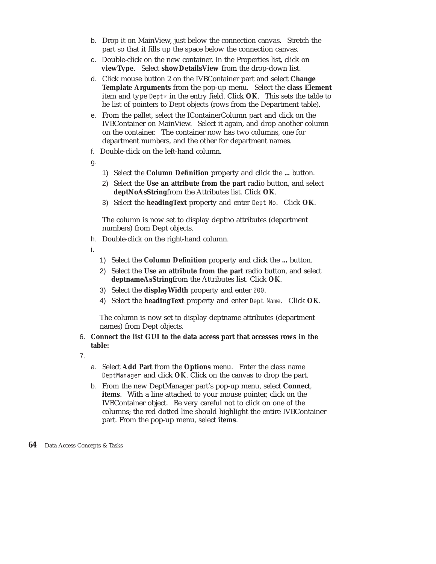- b. Drop it on MainView, just below the connection canvas. Stretch the part so that it fills up the space below the connection canvas.
- c. Double-click on the new container. In the Properties list, click on **viewType**. Select **showDetailsView** from the drop-down list.
- d. Click mouse button 2 on the IVBContainer part and select **Change Template Arguments** from the pop-up menu. Select the **class Element** item and type Dept\* in the entry field. Click **OK**. This sets the table to be list of pointers to Dept objects (rows from the Department table).
- e. From the pallet, select the IContainerColumn part and click on the IVBContainer on MainView. Select it again, and drop another column on the container. The container now has two columns, one for department numbers, and the other for department names.
- f. Double-click on the left-hand column.
- g.
- 1) Select the **Column Definition** property and click the **...** button.
- 2) Select the **Use an attribute from the part** radio button, and select **deptNoAsString**from the Attributes list. Click **OK**.
- 3) Select the **headingText** property and enter Dept No. Click **OK**.

The column is now set to display deptno attributes (department numbers) from Dept objects.

h. Double-click on the right-hand column.

i.

- 1) Select the **Column Definition** property and click the **...** button.
- 2) Select the **Use an attribute from the part** radio button, and select **deptnameAsString**from the Attributes list. Click **OK**.
- 3) Select the **displayWidth** property and enter 200.
- 4) Select the **headingText** property and enter Dept Name. Click **OK**.

The column is now set to display deptname attributes (department names) from Dept objects.

# 6. **Connect the list GUI to the data access part that accesses rows in the table:**

- 7.
- a. Select **Add Part** from the **Options** menu. Enter the class name DeptManager and click **OK**. Click on the canvas to drop the part.
- b. From the new DeptManager part's pop-up menu, select **Connect**, **items**. With a line attached to your mouse pointer, click on the IVBContainer object. Be very careful not to click on one of the columns; the red dotted line should highlight the entire IVBContainer part. From the pop-up menu, select **items**.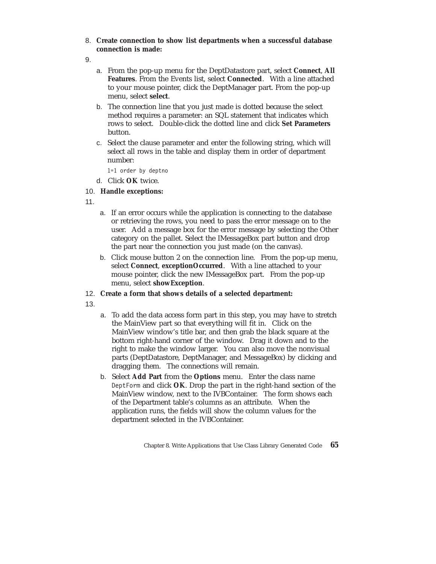8. **Create connection to show list departments when a successful database connection is made:**

9.

- a. From the pop-up menu for the DeptDatastore part, select **Connect**, **All Features**. From the Events list, select **Connected**. With a line attached to your mouse pointer, click the DeptManager part. From the pop-up menu, select **select**.
- b. The connection line that you just made is dotted because the select method requires a parameter: an SQL statement that indicates which rows to select. Double-click the dotted line and click **Set Parameters** button.
- c. Select the clause parameter and enter the following string, which will select all rows in the table and display them in order of department number:

1=1 order by deptno

- d. Click **OK** twice.
- 10. **Handle exceptions:**

11.

- a. If an error occurs while the application is connecting to the database or retrieving the rows, you need to pass the error message on to the user. Add a message box for the error message by selecting the Other category on the pallet. Select the IMessageBox part button and drop the part near the connection you just made (on the canvas).
- b. Click mouse button 2 on the connection line. From the pop-up menu, select **Connect**, **exceptionOccurred**. With a line attached to your mouse pointer, click the new IMessageBox part. From the pop-up menu, select **showException**.
- 12. **Create a form that shows details of a selected department:**

13.

- a. To add the data access form part in this step, you may have to stretch the MainView part so that everything will fit in. Click on the MainView window's title bar, and then grab the black square at the bottom right-hand corner of the window. Drag it down and to the right to make the window larger. You can also move the nonvisual parts (DeptDatastore, DeptManager, and MessageBox) by clicking and dragging them. The connections will remain.
- b. Select **Add Part** from the **Options** menu. Enter the class name DeptForm and click **OK**. Drop the part in the right-hand section of the MainView window, next to the IVBContainer. The form shows each of the Department table's columns as an attribute. When the application runs, the fields will show the column values for the department selected in the IVBContainer.

Chapter 8. Write Applications that Use Class Library Generated Code **65**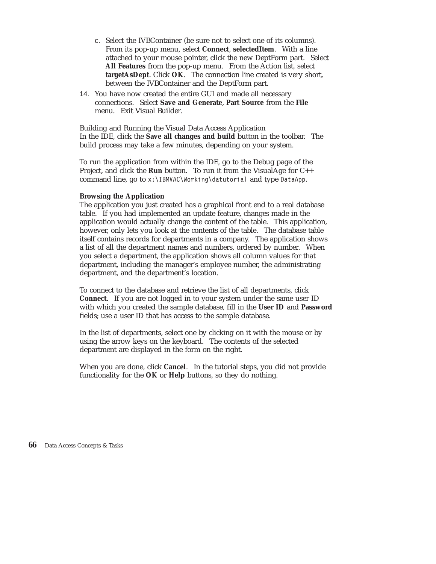- c. Select the IVBContainer (be sure not to select one of its columns). From its pop-up menu, select **Connect**, **selectedItem**. With a line attached to your mouse pointer, click the new DeptForm part. Select **All Features** from the pop-up menu. From the Action list, select **targetAsDept**. Click **OK**. The connection line created is very short, between the IVBContainer and the DeptForm part.
- 14. You have now created the entire GUI and made all necessary connections. Select **Save and Generate**, **Part Source** from the **File** menu. Exit Visual Builder.

Building and Running the Visual Data Access Application In the IDE, click the **Save all changes and build** button in the toolbar. The build process may take a few minutes, depending on your system.

To run the application from within the IDE, go to the Debug page of the Project, and click the **Run** button. To run it from the VisualAge for C++ command line, go to x:\IBMVAC\Working\datutorial and type DataApp.

### **Browsing the Application**

The application you just created has a graphical front end to a real database table. If you had implemented an update feature, changes made in the application would actually change the content of the table. This application, however, only lets you look at the contents of the table. The database table itself contains records for departments in a company. The application shows a list of all the department names and numbers, ordered by number. When you select a department, the application shows all column values for that department, including the manager's employee number, the administrating department, and the department's location.

To connect to the database and retrieve the list of all departments, click **Connect**. If you are not logged in to your system under the same user ID with which you created the sample database, fill in the **User ID** and **Password** fields; use a user ID that has access to the sample database.

In the list of departments, select one by clicking on it with the mouse or by using the arrow keys on the keyboard. The contents of the selected department are displayed in the form on the right.

When you are done, click **Cancel**. In the tutorial steps, you did not provide functionality for the **OK** or **Help** buttons, so they do nothing.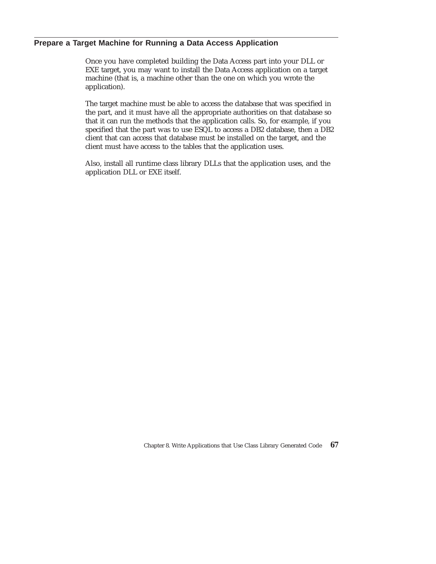## **Prepare a Target Machine for Running a Data Access Application**

Once you have completed building the Data Access part into your DLL or EXE target, you may want to install the Data Access application on a target machine (that is, a machine other than the one on which you wrote the application).

The target machine must be able to access the database that was specified in the part, and it must have all the appropriate authorities on that database so that it can run the methods that the application calls. So, for example, if you specified that the part was to use ESQL to access a DB2 database, then a DB2 client that can access that database must be installed on the target, and the client must have access to the tables that the application uses.

Also, install all runtime class library DLLs that the application uses, and the application DLL or EXE itself.

Chapter 8. Write Applications that Use Class Library Generated Code **67**